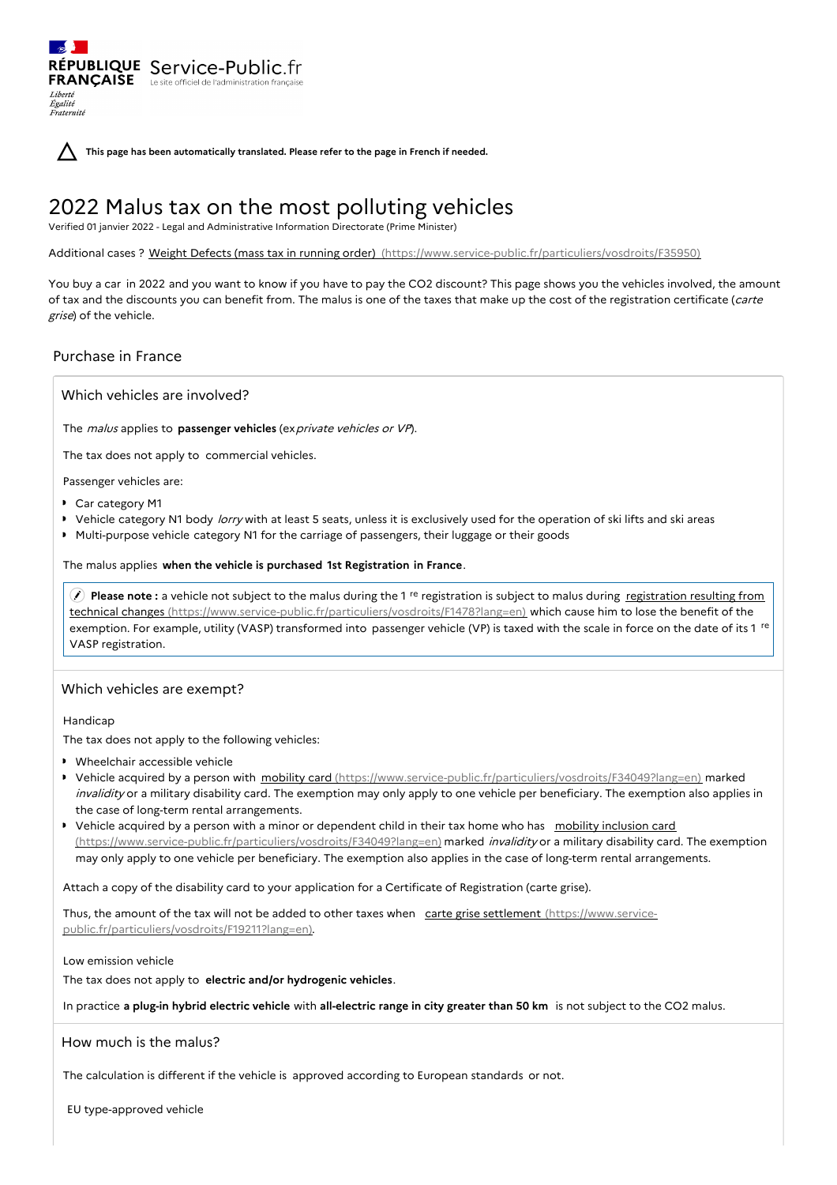**This page has been automatically translated. Please refer to the page in French if needed.**

# 2022 Malus tax on the most polluting vehicles

Verified 01 janvier 2022 - Legal and Administrative Information Directorate (Prime Minister)

Additional cases ? Weight Defects (mass tax in running order) [\(https://www.service-public.fr/particuliers/vosdroits/F35950\)](https://www.service-public.fr/particuliers/vosdroits/F35950)

You buy a car in 2022 and you want to know if you have to pay the CO2 discount? This page shows you the vehicles involved, the amount of tax and the discounts you can benefit from. The malus is one of the taxes that make up the cost of the registration certificate (carte grise) of the vehicle.

## Purchase in France

Liberté Égalité Fraternité

Which vehicles are involved?

RÉPUBLIQUE Service-Public.fr **FRANÇAISE** Le site officiel de l'administration fran

The malus applies to **passenger vehicles** (exprivate vehicles or VP).

The tax does not apply to commercial vehicles.

Passenger vehicles are:

- Car category M1
- ▶ Vehicle category N1 body *lorry* with at least 5 seats, unless it is exclusively used for the operation of ski lifts and ski areas
- Multi-purpose vehicle category N1 for the carriage of passengers, their luggage or their goods

## The malus applies **when the vehicle is purchased 1st Registration in France**.

**Please note**: a vehicle not subject to the malus during the 1<sup>re</sup> registration is subject to malus during registration resulting from technical changes [\(https://www.service-public.fr/particuliers/vosdroits/F1478?lang=en\)](https://www.service-public.fr/particuliers/vosdroits/F1478?lang=en) which cause him to lose the benefit of the exemption. For example, utility (VASP) transformed into passenger vehicle (VP) is taxed with the scale in force on the date of its 1 <sup>re</sup> VASP registration.

### Which vehicles are exempt?

Handicap

The tax does not apply to the following vehicles:

- Wheelchair accessible vehicle
- ▶ Vehicle acquired by a person with mobility card [\(https://www.service-public.fr/particuliers/vosdroits/F34049?lang=en\)](https://www.service-public.fr/particuliers/vosdroits/F34049?lang=en) marked invalidity or a military disability card. The exemption may only apply to one vehicle per beneficiary. The exemption also applies in the case of long-term rental arrangements.
- Vehicle acquired by a person with a minor or dependent child in their tax home who has mobility inclusion card [\(https://www.service-public.fr/particuliers/vosdroits/F34049?lang=en\)](https://www.service-public.fr/particuliers/vosdroits/F34049?lang=en) marked *invalidity* or a military disability card. The exemption may only apply to one vehicle per beneficiary. The exemption also applies in the case of long-term rental arrangements.

Attach a copy of the disability card to your application for a Certificate of Registration (carte grise).

Thus, the amount of the tax will not be added to other taxes when carte grise settlement (https://www.service[public.fr/particuliers/vosdroits/F19211?lang=en\).](https://www.service-public.fr/particuliers/vosdroits/F19211?lang=en)

## Low emission vehicle

The tax does not apply to **electric and/or hydrogenic vehicles**.

In practice **a plug-in hybrid electric vehicle** with **all-electric range in city greater than 50 km** is not subject to the CO2 malus.

## How much is the malus?

The calculation is different if the vehicle is approved according to European standards or not.

EU type-approved vehicle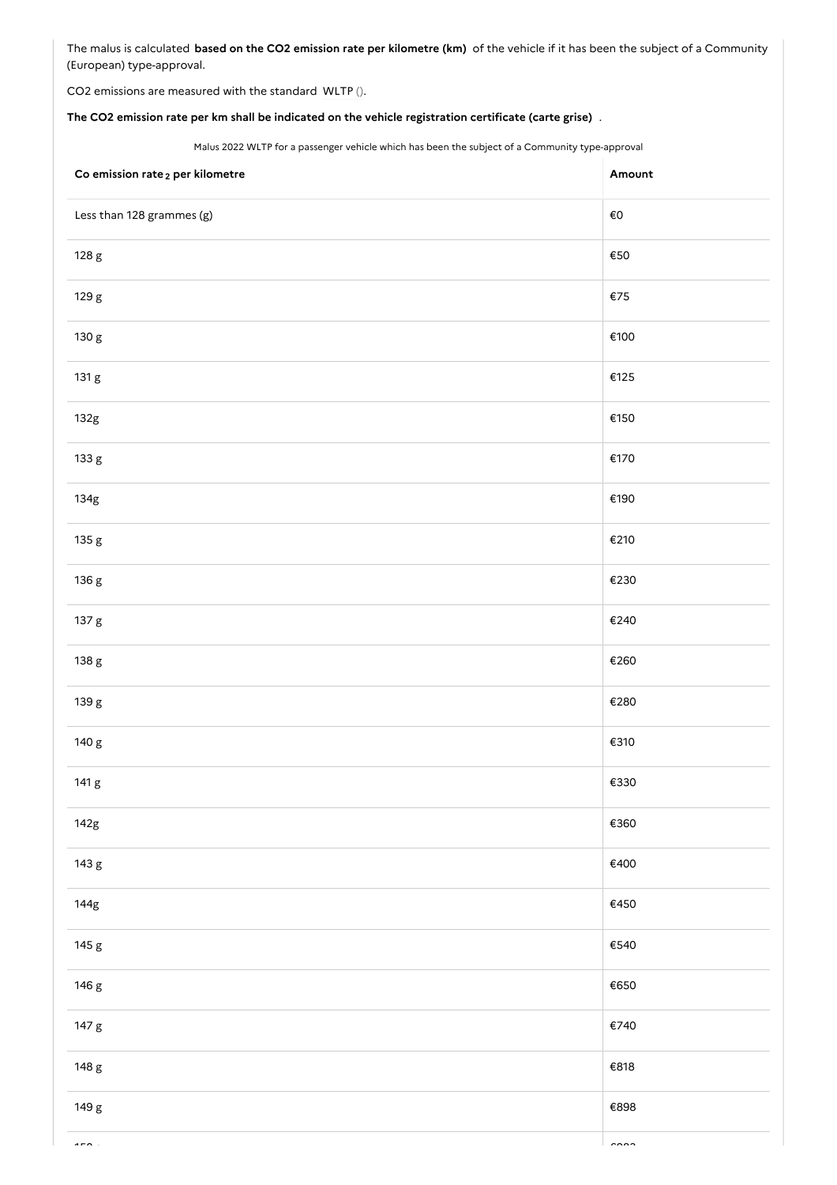The malus is calculated **based on the CO2 emission rate per kilometre (km)** of the vehicle if it has been the subject of a Community (European) type-approval.

CO2 emissions are measured with the standard WLTP ().

## **The CO2 emission rate per km shall be indicated on the vehicle registration certificate (carte grise)** .

Malus 2022 WLTP for a passenger vehicle which has been the subject of a Community type-approval

| Co emission rate <sub>2</sub> per kilometre | Amount         |
|---------------------------------------------|----------------|
| Less than 128 grammes (g)                   | $\epsilon$ o   |
| 128 g                                       | $\epsilon$ 50  |
| 129 g                                       | $\epsilon$ 75  |
| 130 g                                       | €100           |
| 131 g                                       | €125           |
| 132g                                        | €150           |
| 133 g                                       | €170           |
| 134g                                        | €190           |
| 135 g                                       | €210           |
| 136 g                                       | €230           |
| 137 g                                       | €240           |
| 138 g                                       | €260           |
| 139 g                                       | €280           |
| 140 g                                       | €310           |
| 141 g                                       | €330           |
| 142g                                        | $\epsilon$ 360 |
| 143 g                                       | €400           |
| 144g                                        | €450           |
| 145 g                                       | €540           |
| 146 g                                       | €650           |
| 147 g                                       | €740           |
| 148 g                                       | €818           |
| 149 g                                       | €898           |
|                                             |                |

150 g €983 g €983 g €983 g €983 g €983 g €983 g €983 g €983 g €983 g €983 g €983 g €983 g €983 g €983 g €983 g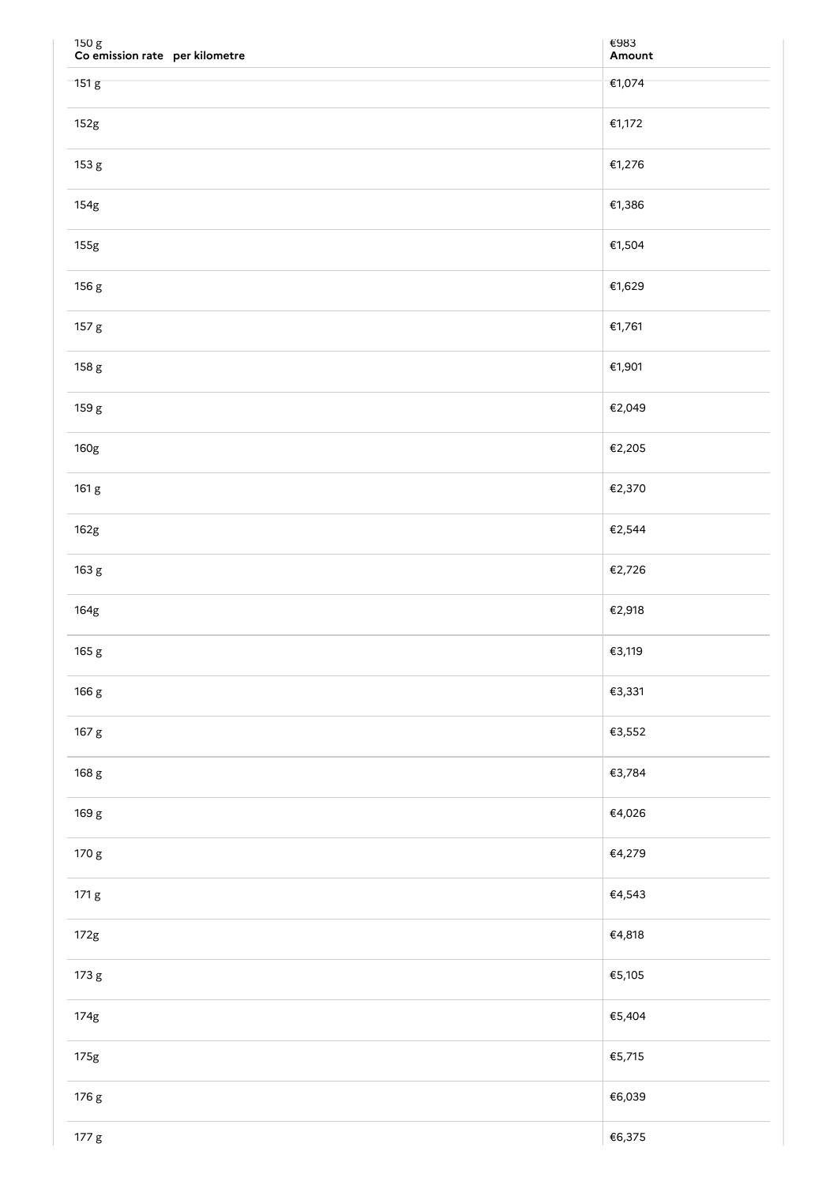| 150 g<br>Co emission rate per kilometre | €983<br>Amount |
|-----------------------------------------|----------------|
| 151 g                                   | €1,074         |
| 152g                                    | €1,172         |
| 153 g                                   | €1,276         |
| 154g                                    | €1,386         |
| 155g                                    | €1,504         |
| 156 g                                   | €1,629         |
| 157 g                                   | €1,761         |
| 158 g                                   | €1,901         |
| 159 g                                   | €2,049         |
| 160g                                    | €2,205         |
| 161 g                                   | €2,370         |
| 162g                                    | €2,544         |
| 163 g                                   | €2,726         |
| 164g                                    | €2,918         |
| 165 g                                   | €3,119         |
| 166 g                                   | €3,331         |
| 167 g                                   | €3,552         |
| 168 g                                   | €3,784         |
| 169 g                                   | €4,026         |
| 170 g                                   | €4,279         |
| 171 g                                   | €4,543         |
| 172g                                    | €4,818         |
| 173 g                                   | €5,105         |
| 174g                                    | €5,404         |
| 175g                                    | €5,715         |
| 176 g                                   | €6,039         |
| 177 <sub>g</sub>                        | €6,375         |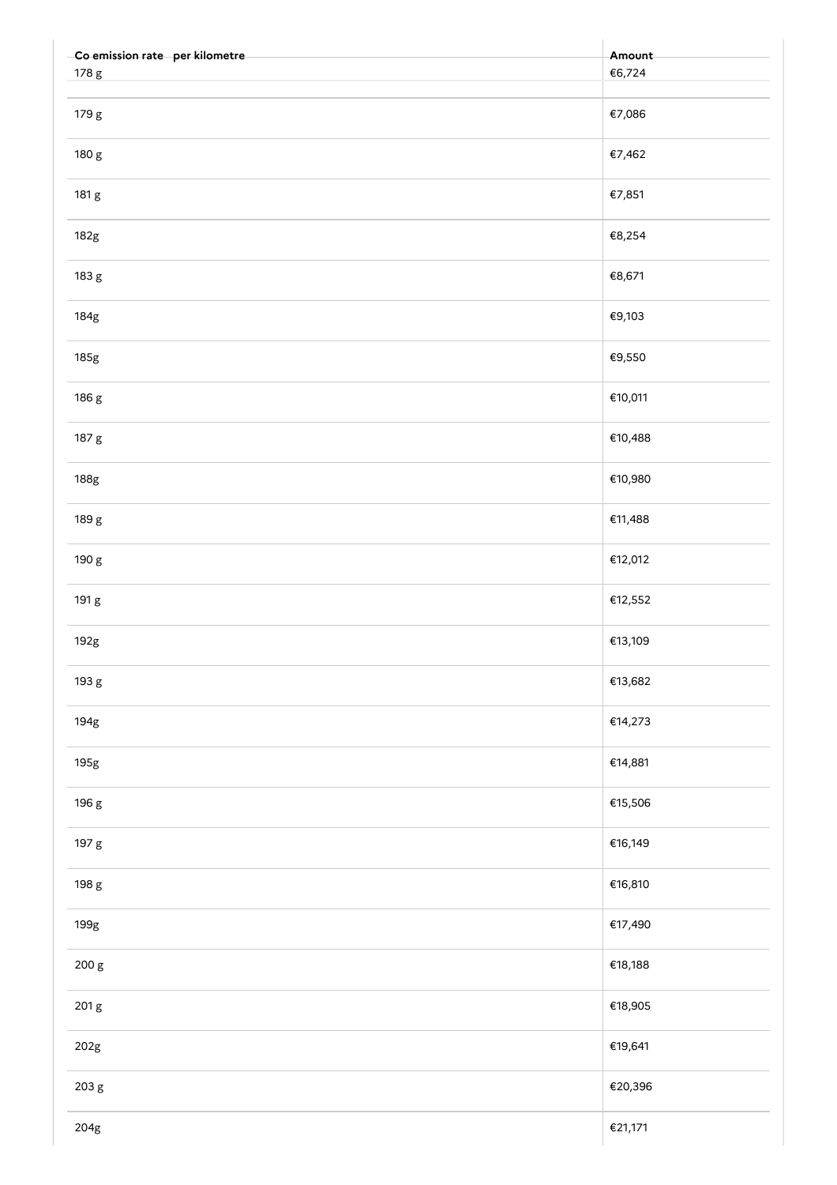| -Co emission rate per kilometre | Amount  |
|---------------------------------|---------|
| 178 g                           | €6,724  |
| 179 g                           | €7,086  |
| 180 g                           | €7,462  |
| 181 g                           | €7,851  |
| 182g                            | €8,254  |
| 183 g                           | €8,671  |
| 184g                            | €9,103  |
| 185g                            | €9,550  |
| 186 g                           | €10,011 |
| 187 g                           | €10,488 |
| 188g                            | €10,980 |
| 189 g                           | €11,488 |
| 190 g                           | €12,012 |
| 191 g                           | €12,552 |
| 192g                            | €13,109 |
| 193 g                           | €13,682 |
| 194g                            | €14,273 |
| 195g                            | €14,881 |
| 196 g                           | €15,506 |
| 197 g                           | €16,149 |
| 198 g                           | €16,810 |
| 199g                            | €17,490 |
| 200 g                           | €18,188 |
| 201 g                           | €18,905 |
| 202g                            | €19,641 |
| 203 g                           | €20,396 |
| $204\mathrm{g}$                 | €21,171 |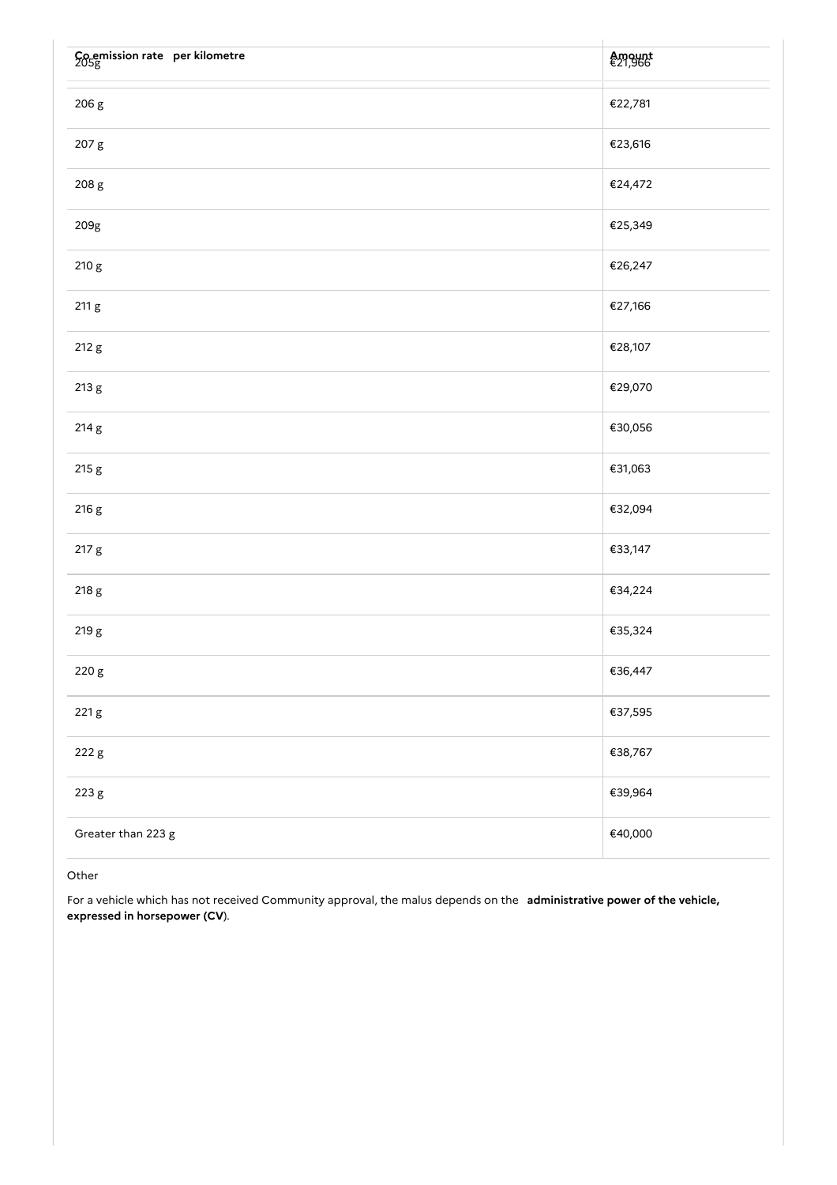| Co emission rate per kilometre | Amount<br>€21,966 |
|--------------------------------|-------------------|
| 206 g                          | €22,781           |
| 207 g                          | €23,616           |
| 208 g                          | €24,472           |
| 209g                           | €25,349           |
| 210 g                          | €26,247           |
| 211 g                          | €27,166           |
| 212 g                          | €28,107           |
| 213 g                          | €29,070           |
| 214 g                          | €30,056           |
| 215 g                          | €31,063           |
| 216 g                          | €32,094           |
| 217 g                          | €33,147           |
| 218 g                          | €34,224           |
| 219 g                          | €35,324           |
| 220 g                          | €36,447           |
| 221 g                          | €37,595           |
| 222 g                          | €38,767           |
| 223 g                          | €39,964           |
| Greater than 223 g             | €40,000           |

## Other

For a vehicle which has not received Community approval, the malus depends on the **administrative power of the vehicle, expressed in horsepower (CV**).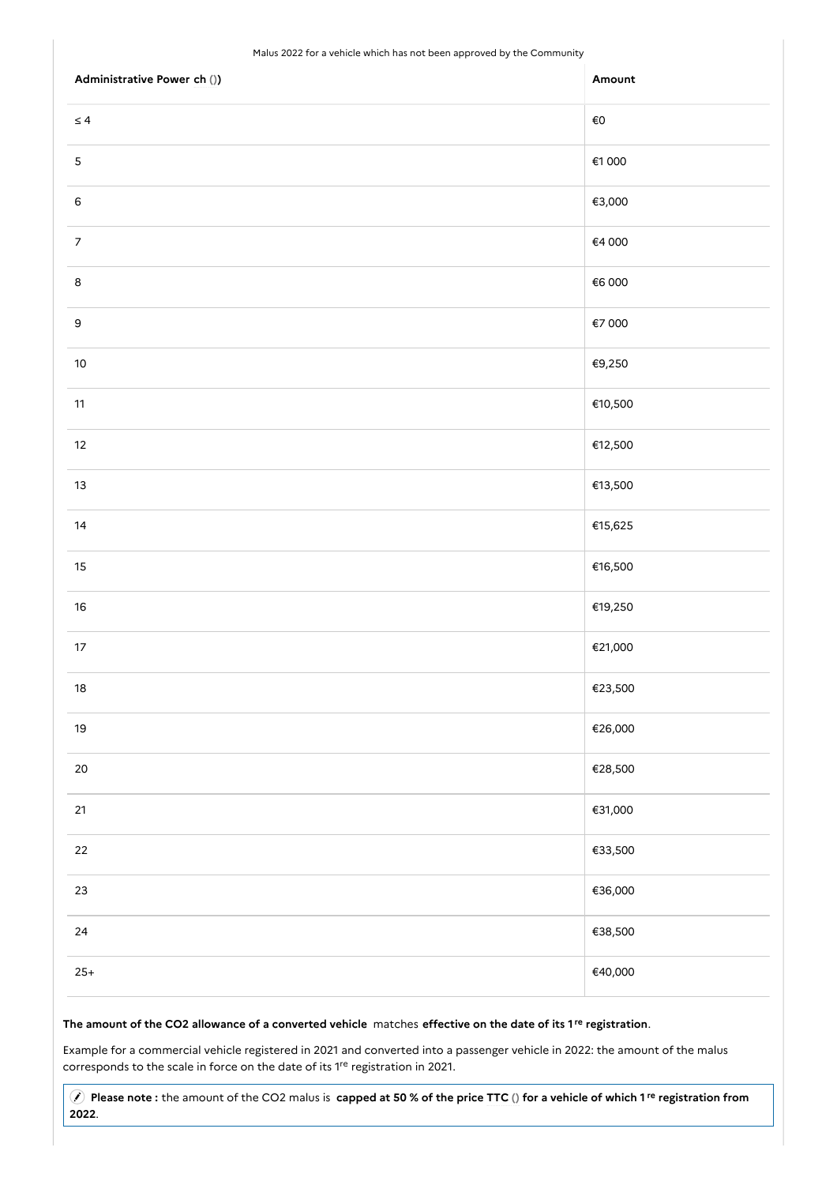#### Malus 2022 for a vehicle which has not been approved by the Community

| Administrative Power ch ()) | Amount       |
|-----------------------------|--------------|
| $\leq 4$                    | $\epsilon$ o |
| $\mathsf S$                 | €1000        |
| $\,$ 6 $\,$                 | €3,000       |
| $\overline{7}$              | €4 000       |
| $\bf8$                      | €6 000       |
| $\mathsf 9$                 | €7 000       |
| $10\,$                      | €9,250       |
| $11$                        | €10,500      |
| $12\,$                      | €12,500      |
| $13$                        | €13,500      |
| $14$                        | €15,625      |
| $15\,$                      | €16,500      |
| $16\,$                      | €19,250      |
| $17\,$                      | €21,000      |
| $18\,$                      | €23,500      |
| $19$                        | €26,000      |
| $20\,$                      | €28,500      |
| 21                          | €31,000      |
| 22                          | €33,500      |
| $23\,$                      | €36,000      |
| 24                          | €38,500      |
| $25+$                       | €40,000      |

#### The amount of the CO2 allowance of a converted vehicle matches effective on the date of its 1<sup>re</sup> registration.

Example for a commercial vehicle registered in 2021 and converted into a passenger vehicle in 2022: the amount of the malus corresponds to the scale in force on the date of its <sup>1re</sup> registration in 2021.

Please note: the amount of the CO2 malus is capped at 50 % of the price TTC () for a vehicle of which 1<sup>re</sup> registration from .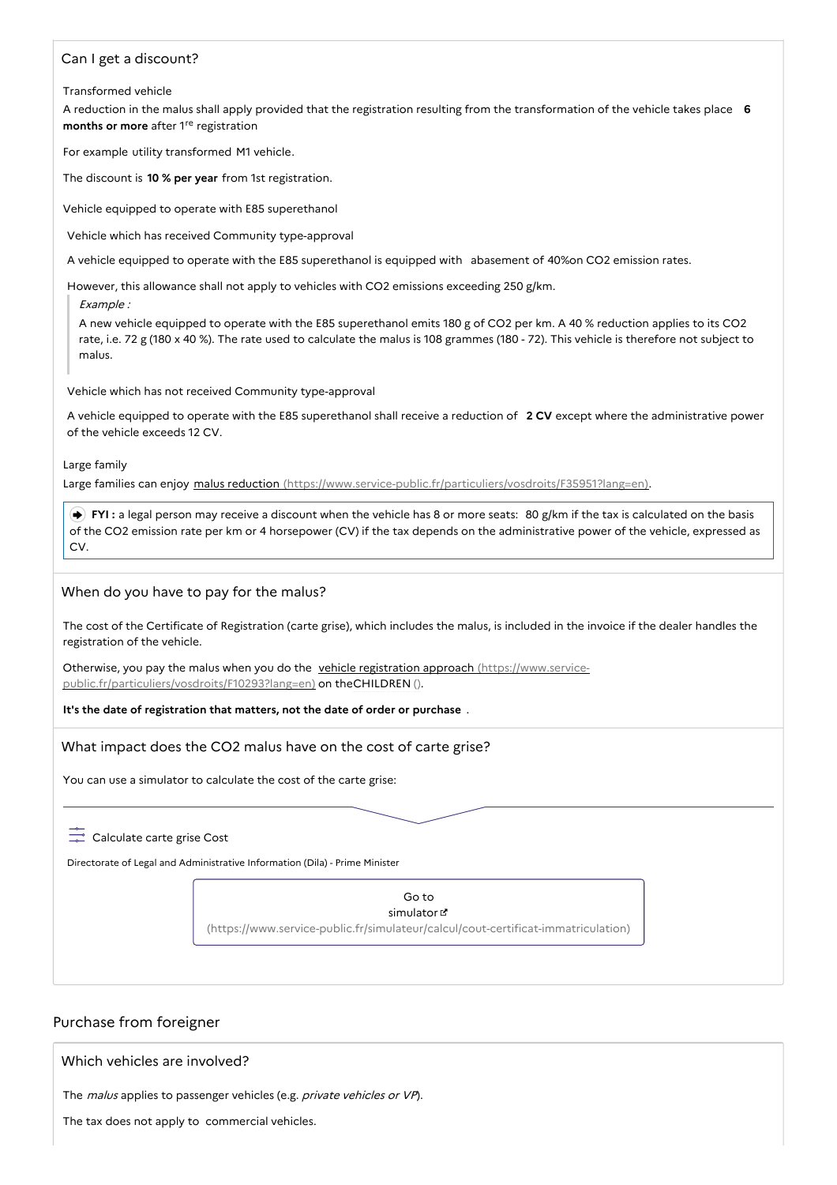## Can I get a discount?

#### Transformed vehicle

A reduction in the malus shall apply provided that the registration resulting from the transformation of the vehicle takes place **6** months or more after 1<sup>re</sup> registration

For example utility transformed M1 vehicle.

The discount is **10 % per year** from 1st registration.

Vehicle equipped to operate with E85 superethanol

Vehicle which has received Community type-approval

A vehicle equipped to operate with the E85 superethanol is equipped with abasement of 40%on CO2 emission rates.

However, this allowance shall not apply to vehicles with CO2 emissions exceeding 250 g/km.

Example :

A new vehicle equipped to operate with the E85 superethanol emits 180 g of CO2 per km. A 40 % reduction applies to its CO2 rate, i.e. 72 g (180 x 40 %). The rate used to calculate the malus is 108 grammes (180 - 72). This vehicle is therefore not subject to malus.

Vehicle which has not received Community type-approval

A vehicle equipped to operate with the E85 superethanol shall receive a reduction of **2 CV** except where the administrative power of the vehicle exceeds 12 CV.

Large family

Large families can enjoy malus reduction [\(https://www.service-public.fr/particuliers/vosdroits/F35951?lang=en\)](https://www.service-public.fr/particuliers/vosdroits/F35951?lang=en).

 **FYI :** a legal person may receive a discount when the vehicle has 8 or more seats: 80 g/km if the tax is calculated on the basis of the CO2 emission rate per km or 4 horsepower (CV) if the tax depends on the administrative power of the vehicle, expressed as CV.

## When do you have to pay for the malus?

The cost of the Certificate of Registration (carte grise), which includes the malus, is included in the invoice if the dealer handles the registration of the vehicle.

Otherwise, you pay the malus when you do the vehicle registration approach (https://www.service[public.fr/particuliers/vosdroits/F10293?lang=en\)](https://www.service-public.fr/particuliers/vosdroits/F10293?lang=en) on theCHILDREN ().

**It's the date of registration that matters, not the date of order or purchase** .

## What impact does the CO2 malus have on the cost of carte grise?

You can use a simulator to calculate the cost of the carte grise:

# $\frac{1}{\sqrt{2}}$  Calculate carte grise Cost

Directorate of Legal and Administrative Information (Dila) - Prime Minister

Go to simulator<sup>1</sup> [\(https://www.service-public.fr/simulateur/calcul/cout-certificat-immatriculation\)](https://www.service-public.fr/simulateur/calcul/cout-certificat-immatriculation)

## Purchase from foreigner

Which vehicles are involved?

The malus applies to passenger vehicles (e.g. private vehicles or VP).

The tax does not apply to commercial vehicles.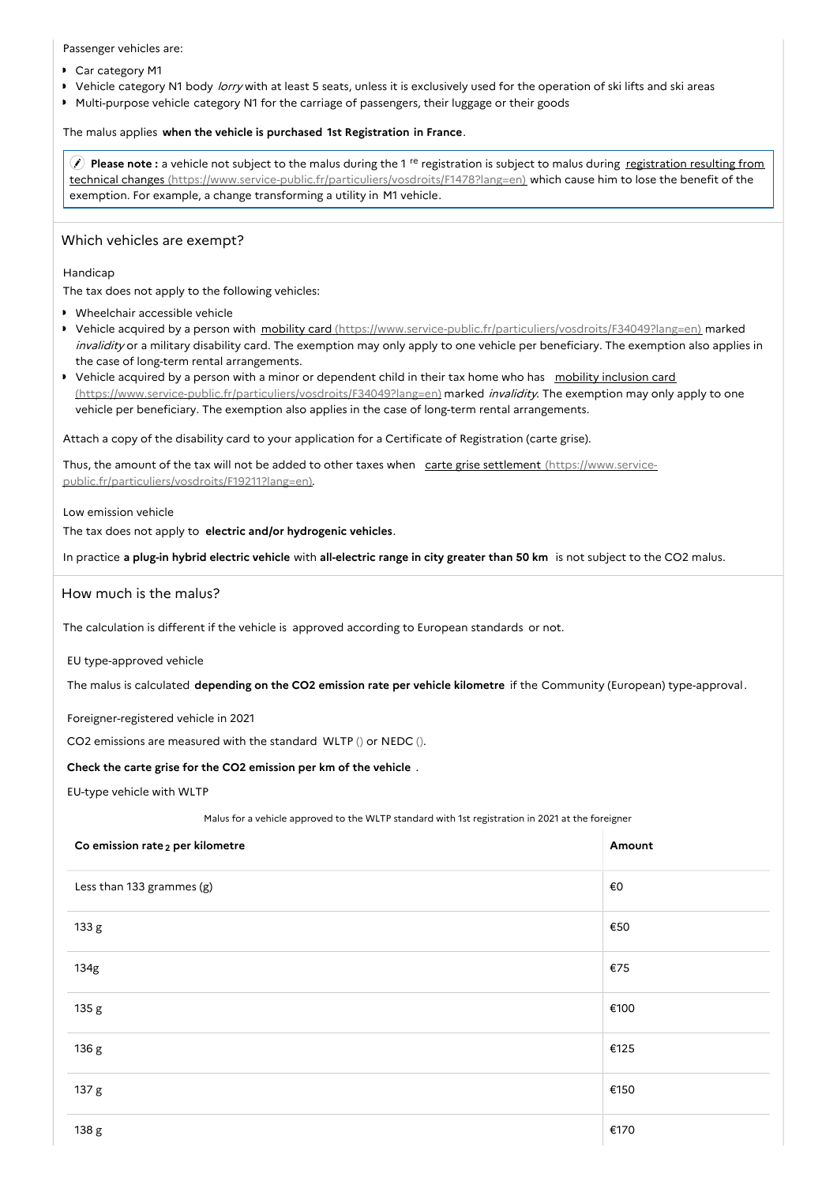Passenger vehicles are:

- Car category M1
- Vehicle category N1 body lorry with at least 5 seats, unless it is exclusively used for the operation of ski lifts and ski areas  $\mathbf{r}$
- Multi-purpose vehicle category N1 for the carriage of passengers, their luggage or their goods

## The malus applies **when the vehicle is purchased 1st Registration in France**.

**Please note**: a vehicle not subject to the malus during the 1<sup>re</sup> registration is subject to malus during registration resulting from technical changes [\(https://www.service-public.fr/particuliers/vosdroits/F1478?lang=en\)](https://www.service-public.fr/particuliers/vosdroits/F1478?lang=en) which cause him to lose the benefit of the exemption. For example, a change transforming a utility in M1 vehicle.

## Which vehicles are exempt?

Handicap

The tax does not apply to the following vehicles:

- Wheelchair accessible vehicle
- ▶ Vehicle acquired by a person with mobility card [\(https://www.service-public.fr/particuliers/vosdroits/F34049?lang=en\)](https://www.service-public.fr/particuliers/vosdroits/F34049?lang=en) marked invalidity or a military disability card. The exemption may only apply to one vehicle per beneficiary. The exemption also applies in the case of long-term rental arrangements.
- ▶ Vehicle acquired by a person with a minor or dependent child in their tax home who has mobility inclusion card [\(https://www.service-public.fr/particuliers/vosdroits/F34049?lang=en\)](https://www.service-public.fr/particuliers/vosdroits/F34049?lang=en) marked invalidity. The exemption may only apply to one vehicle per beneficiary. The exemption also applies in the case of long-term rental arrangements.

Attach a copy of the disability card to your application for a Certificate of Registration (carte grise).

Thus, the amount of the tax will not be added to other taxes when carte grise settlement (https://www.service[public.fr/particuliers/vosdroits/F19211?lang=en\).](https://www.service-public.fr/particuliers/vosdroits/F19211?lang=en)

Low emission vehicle

The tax does not apply to **electric and/or hydrogenic vehicles**.

In practice **a plug-in hybrid electric vehicle** with **all-electric range in city greater than 50 km** is not subject to the CO2 malus.

## How much is the malus?

The calculation is different if the vehicle is approved according to European standards or not.

EU type-approved vehicle

The malus is calculated **depending on the CO2 emission rate per vehicle kilometre** if the Community (European) type-approval.

Foreigner-registered vehicle in 2021

CO2 emissions are measured with the standard WLTP () or NEDC ().

### **Check the carte grise for the CO2 emission per km of the vehicle** .

EU-type vehicle with WLTP

Malus for a vehicle approved to the WLTP standard with 1st registration in 2021 at the foreigner

| Co emission rate <sub>2</sub> per kilometre | Amount |
|---------------------------------------------|--------|
| Less than 133 grammes (g)                   | €0     |
| 133 g                                       | €50    |
| 134g                                        | €75    |
| 135 g                                       | €100   |
| 136 g                                       | €125   |
| 137 g                                       | €150   |
| 138 g                                       | €170   |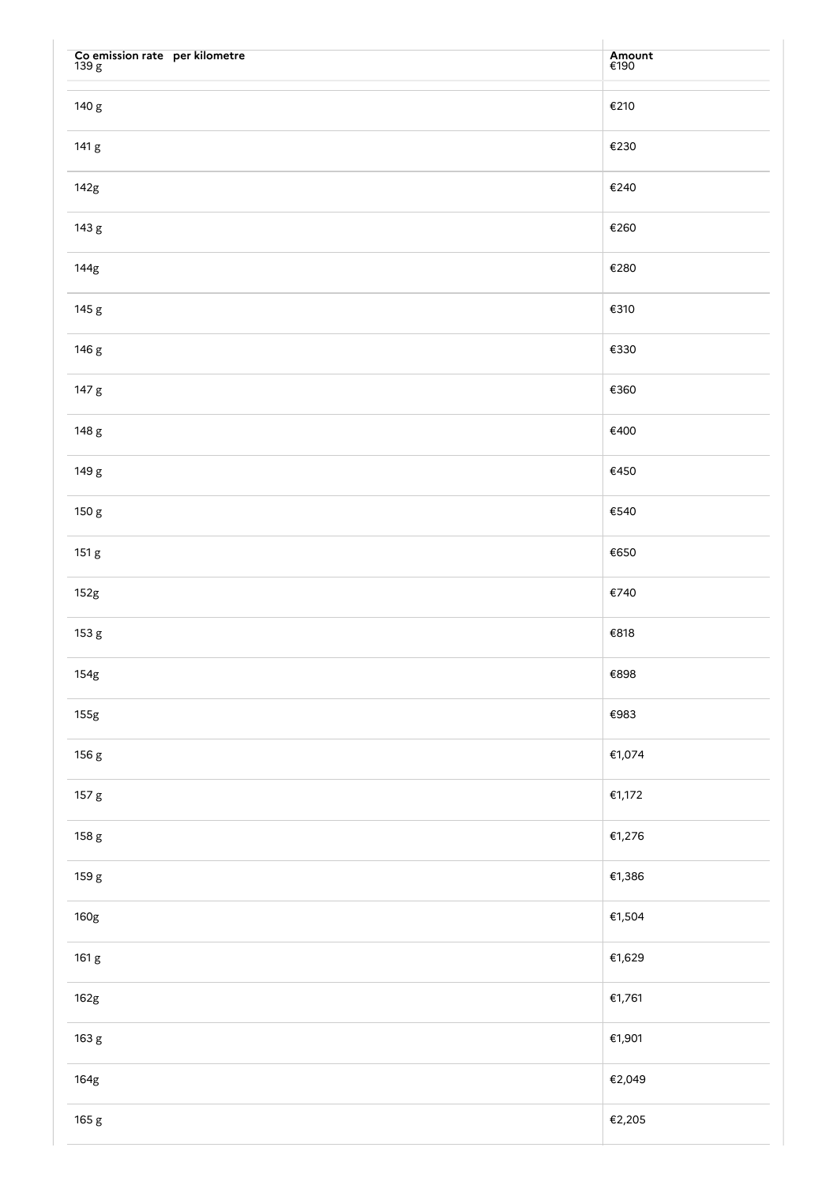| Co emission rate per kilometre $139~\mathrm{g}$ | Amount<br>€190 |
|-------------------------------------------------|----------------|
| 140 g                                           | €210           |
| 141 g                                           | €230           |
| 142g                                            | €240           |
| 143 g                                           | €260           |
| 144g                                            | €280           |
| 145 g                                           | €310           |
| 146 g                                           | €330           |
| 147 g                                           | €360           |
| 148 g                                           | €400           |
| 149 g                                           | €450           |
| 150 g                                           | €540           |
| 151 g                                           | €650           |
| 152g                                            | €740           |
| 153 g                                           | €818           |
| 154g                                            | $\epsilon$ 898 |
| 155g                                            | €983           |
| 156 g                                           | €1,074         |
| 157 g                                           | €1,172         |
| 158 g                                           | €1,276         |
| 159 g                                           | €1,386         |
| 160g                                            | €1,504         |
| 161 g                                           | €1,629         |
| 162g                                            | €1,761         |
| 163 g                                           | €1,901         |
| 164g                                            | €2,049         |
| 165 g                                           | €2,205         |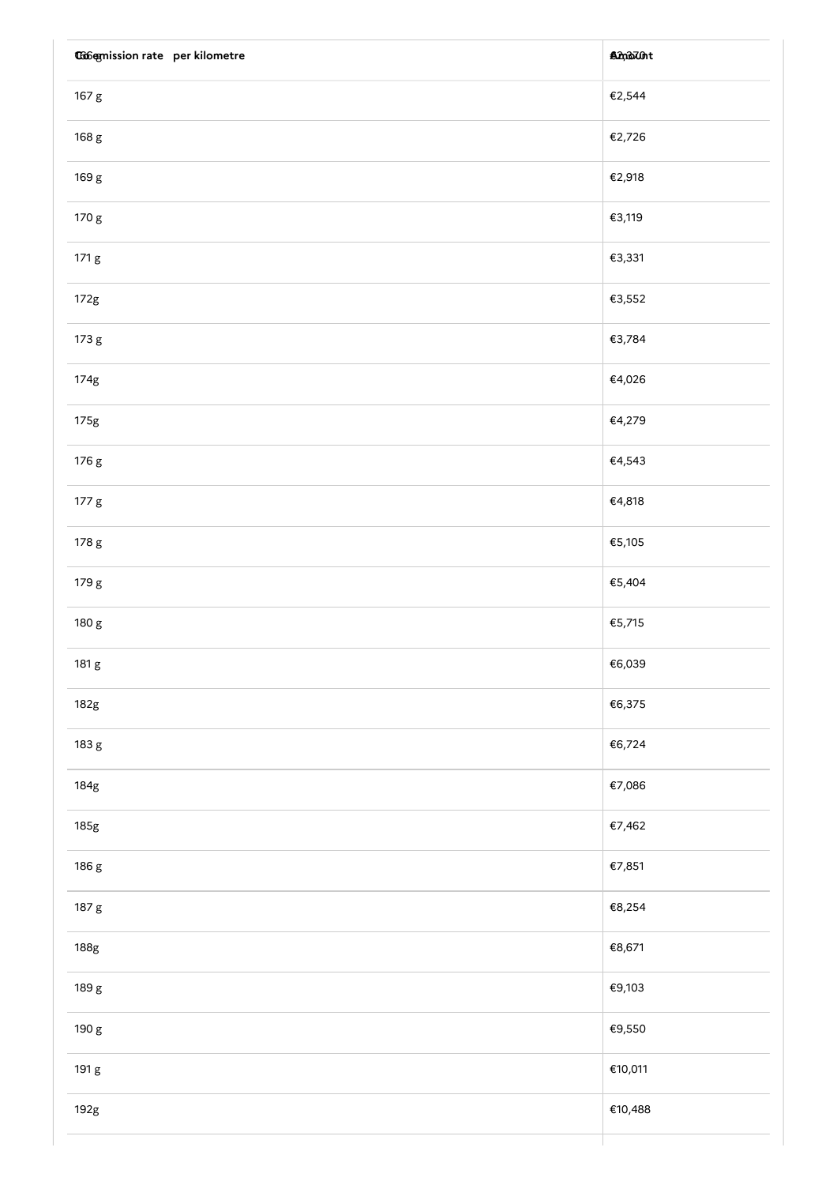| <b>Coofgmission rate per kilometre</b> | <b>And That</b> |
|----------------------------------------|-----------------|
| 167 g                                  | €2,544          |
| 168 g                                  | €2,726          |
| 169 g                                  | €2,918          |
| 170 g                                  | €3,119          |
| 171 g                                  | €3,331          |
| 172g                                   | €3,552          |
| 173 g                                  | €3,784          |
| 174g                                   | €4,026          |
| 175g                                   | €4,279          |
| 176 g                                  | €4,543          |
| 177 g                                  | €4,818          |
| 178 g                                  | €5,105          |
| 179 g                                  | €5,404          |
| 180 g                                  | €5,715          |
| 181 g                                  | €6,039          |
| 182g                                   | €6,375          |
| 183 g                                  | €6,724          |
| 184g                                   | €7,086          |
| 185g                                   | €7,462          |
| 186 g                                  | €7,851          |
| 187 g                                  | €8,254          |
| 188g                                   | €8,671          |
| 189 g                                  | €9,103          |
| 190 g                                  | €9,550          |
| 191 g                                  | €10,011         |
| 192g                                   | €10,488         |
|                                        |                 |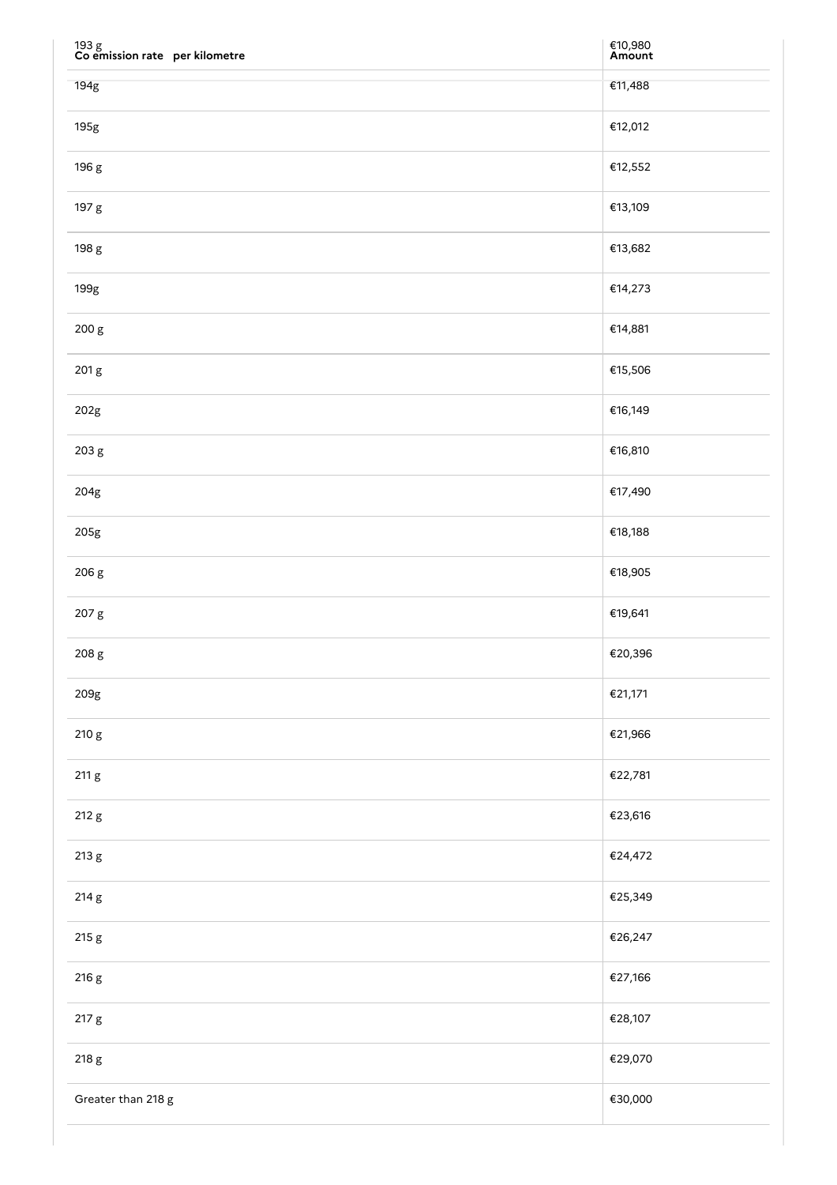| $193~\mathrm{g}$ Co emission rate $~$ per kilometre | €10,980<br><b>Amount</b> |
|-----------------------------------------------------|--------------------------|
| 194g                                                | €11,488                  |
| 195g                                                | €12,012                  |
| 196 g                                               | €12,552                  |
| 197 g                                               | €13,109                  |
| 198 g                                               | €13,682                  |
| 199g                                                | €14,273                  |
| 200 g                                               | €14,881                  |
| 201 g                                               | €15,506                  |
| 202g                                                | €16,149                  |
| 203 g                                               | €16,810                  |
| 204g                                                | €17,490                  |
| 205g                                                | €18,188                  |
| 206 g                                               | €18,905                  |
| 207 g                                               | €19,641                  |
| 208 g                                               | €20,396                  |
| 209g                                                | €21,171                  |
| 210 g                                               | €21,966                  |
| 211 g                                               | €22,781                  |
| 212 g                                               | €23,616                  |
| 213 g                                               | €24,472                  |
| 214 g                                               | €25,349                  |
| 215 g                                               | €26,247                  |
| 216 g                                               | €27,166                  |
| 217 g                                               | €28,107                  |
| 218 g                                               | €29,070                  |
| Greater than 218 g                                  | €30,000                  |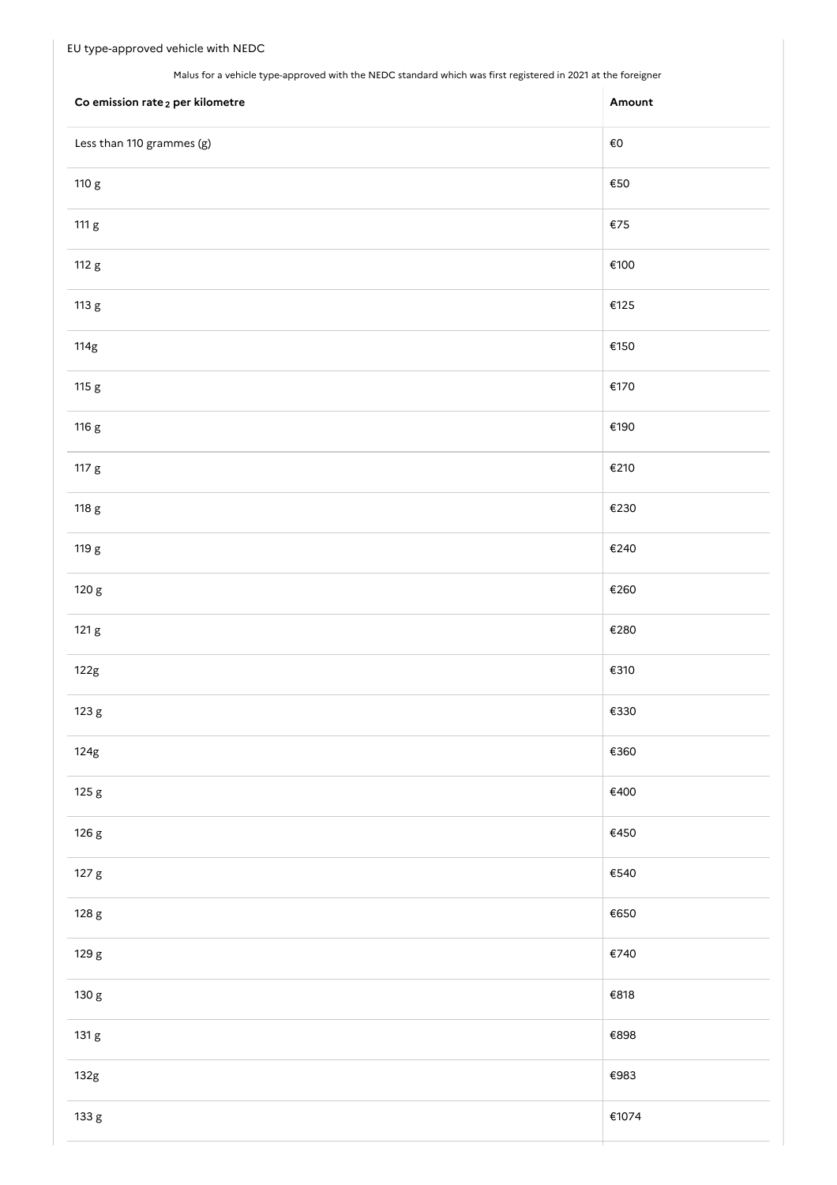Malus for a vehicle type-approved with the NEDC standard which was first registered in 2021 at the foreigner

| Co emission rate <sub>2</sub> per kilometre | Amount        |
|---------------------------------------------|---------------|
| Less than 110 grammes (g)                   | $\epsilon$ o  |
| 110 g                                       | $\epsilon$ 50 |
| 111 g                                       | $\epsilon$ 75 |
| 112 g                                       | €100          |
| 113 g                                       | €125          |
| 114g                                        | €150          |
| 115 g                                       | €170          |
| 116 g                                       | €190          |
| 117 g                                       | €210          |
| 118 g                                       | €230          |
| 119 g                                       | €240          |
| 120 g                                       | €260          |
| 121 g                                       | €280          |
| 122g                                        | €310          |
| 123 g                                       | €330          |
| 124g                                        | €360          |
| 125 g                                       | €400          |
| 126 g                                       | €450          |
| 127 g                                       | €540          |
| 128 g                                       | €650          |
| 129 g                                       | €740          |
| 130 g                                       | €818          |
| 131 g                                       | €898          |
| 132g                                        | €983          |
| 133 g                                       | €1074         |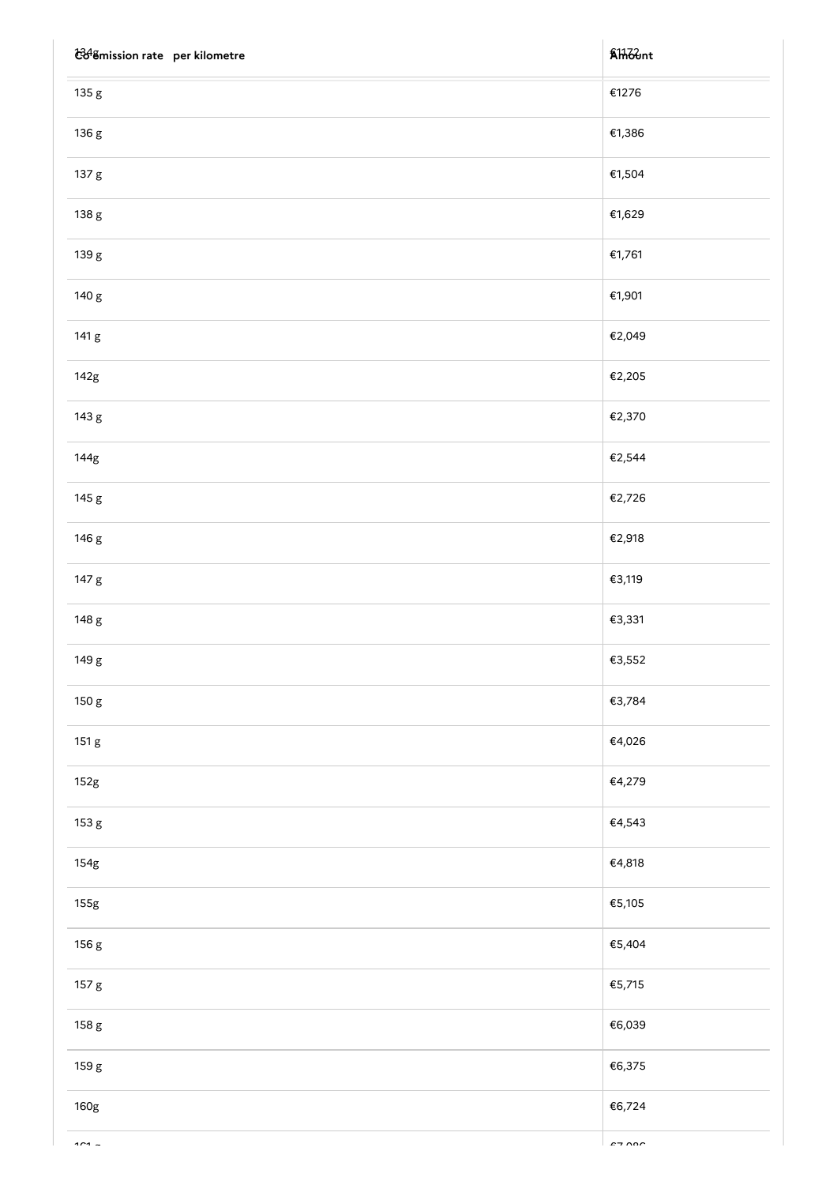| t348 mission rate per kilometre | <b>AH</b> ount |
|---------------------------------|----------------|
| 135 g                           | €1276          |
| 136 g                           | €1,386         |
| 137 g                           | €1,504         |
| 138 g                           | €1,629         |
| 139 g                           | €1,761         |
| 140 g                           | €1,901         |
| 141 g                           | €2,049         |
| 142g                            | €2,205         |
| 143 g                           | €2,370         |
| 144g                            | €2,544         |
| 145 g                           | €2,726         |
| 146 g                           | €2,918         |
| 147 g                           | €3,119         |
| 148 g                           | €3,331         |
| 149 g                           | €3,552         |
| 150 g                           | €3,784         |
| 151 g                           | €4,026         |
| 152g                            | €4,279         |
| 153 g                           | €4,543         |
| 154g                            | €4,818         |
| 155g                            | €5,105         |
| 156 g                           | €5,404         |
| 157 g                           | €5,715         |
| 158 g                           | €6,039         |
| 159 g                           | €6,375         |
| 160g                            | €6,724         |
|                                 |                |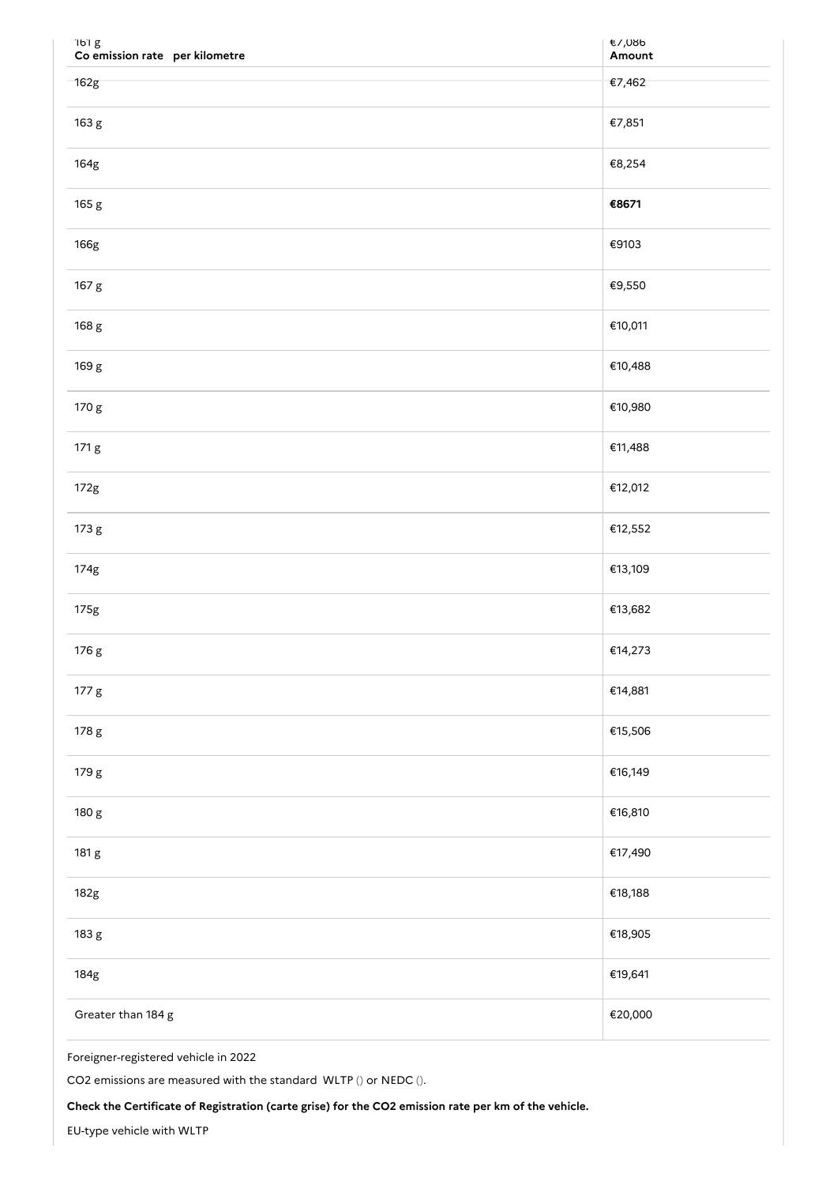| 161 g<br>Co emission rate per kilometre | €/,∪öb<br>Amount |
|-----------------------------------------|------------------|
| 162g                                    | €7,462           |
| 163 g                                   | €7,851           |
| 164g                                    | €8,254           |
| 165 g                                   | €8671            |
| 166g                                    | €9103            |
| 167 g                                   | €9,550           |
| 168 g                                   | €10,011          |
| 169 g                                   | €10,488          |
| 170 g                                   | €10,980          |
| 171 g                                   | €11,488          |
| 172g                                    | €12,012          |
| 173 g                                   | €12,552          |
| 174g                                    | €13,109          |
| 175g                                    | €13,682          |
| 176 g                                   | €14,273          |
| 177 g                                   | €14,881          |
| 178 g                                   | €15,506          |
| 179 g                                   | €16,149          |
| 180 g                                   | €16,810          |
| 181 g                                   | €17,490          |
| 182g                                    | €18,188          |
| 183 g                                   | €18,905          |
| 184g                                    | €19,641          |
| Greater than 184 g                      | €20,000          |

Foreigner-registered vehicle in 2022

CO2 emissions are measured with the standard WLTP () or NEDC ().

**Check the Certificate of Registration (carte grise) for the CO2 emission rate per km of the vehicle.**

EU-type vehicle with WLTP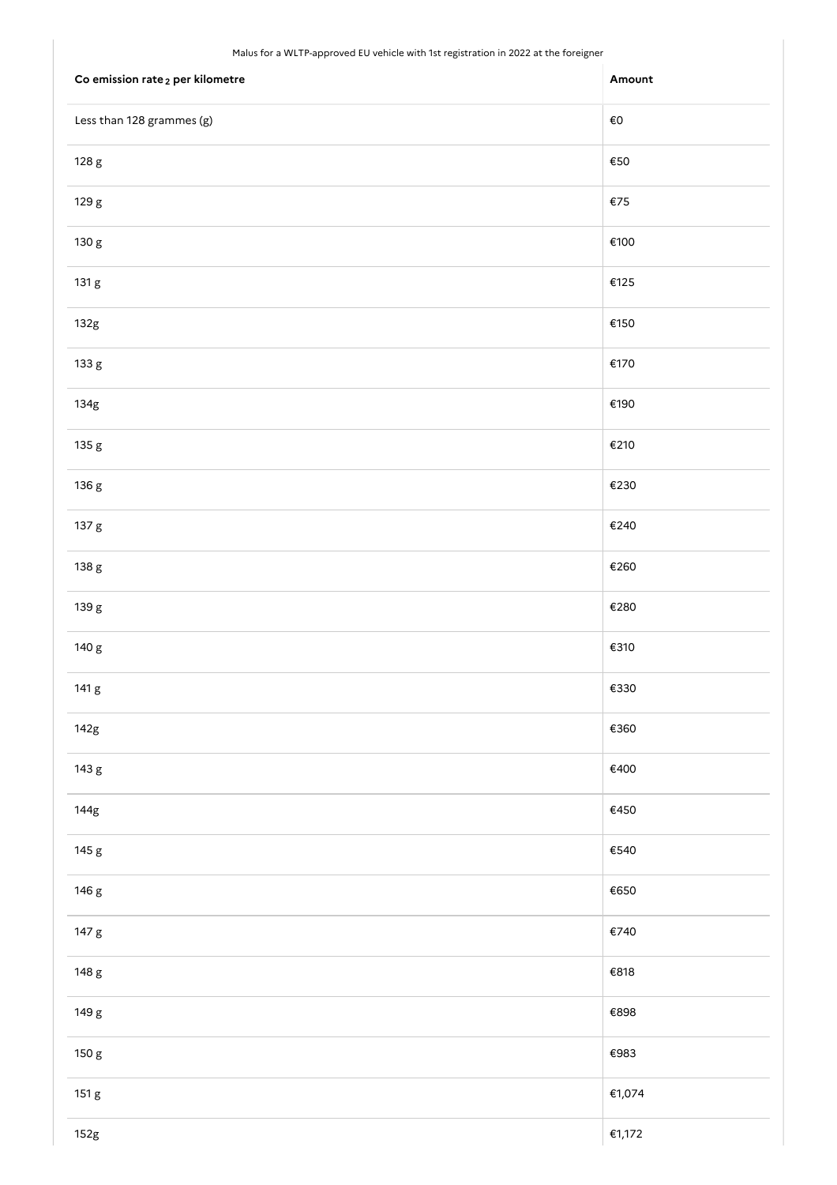#### Malus for a WLTP-approved EU vehicle with 1st registration in 2022 at the foreigner

| . .<br>$\overline{\phantom{0}}$<br>$\overline{\phantom{0}}$ |                |
|-------------------------------------------------------------|----------------|
| Co emission rate <sub>2</sub> per kilometre                 | Amount         |
| Less than 128 grammes (g)                                   | $\epsilon$ o   |
| 128 g                                                       | $\epsilon$ 50  |
| 129 g                                                       | €75            |
| 130 g                                                       | €100           |
| 131 g                                                       | €125           |
| 132g                                                        | €150           |
| 133 g                                                       | €170           |
| 134g                                                        | €190           |
| 135 g                                                       | €210           |
| 136 g                                                       | €230           |
| 137 g                                                       | €240           |
| 138 g                                                       | €260           |
| 139 g                                                       | €280           |
| 140 g                                                       | €310           |
| 141 g                                                       | $\epsilon$ 330 |
| 142g                                                        | €360           |
| 143 g                                                       | €400           |
| 144g                                                        | €450           |
| 145 g                                                       | €540           |
| 146 g                                                       | €650           |
| 147 g                                                       | €740           |
| 148 g                                                       | €818           |
| 149 g                                                       | €898           |
| 150 g                                                       | €983           |
| 151 g                                                       | €1,074         |
| 152g                                                        | €1,172         |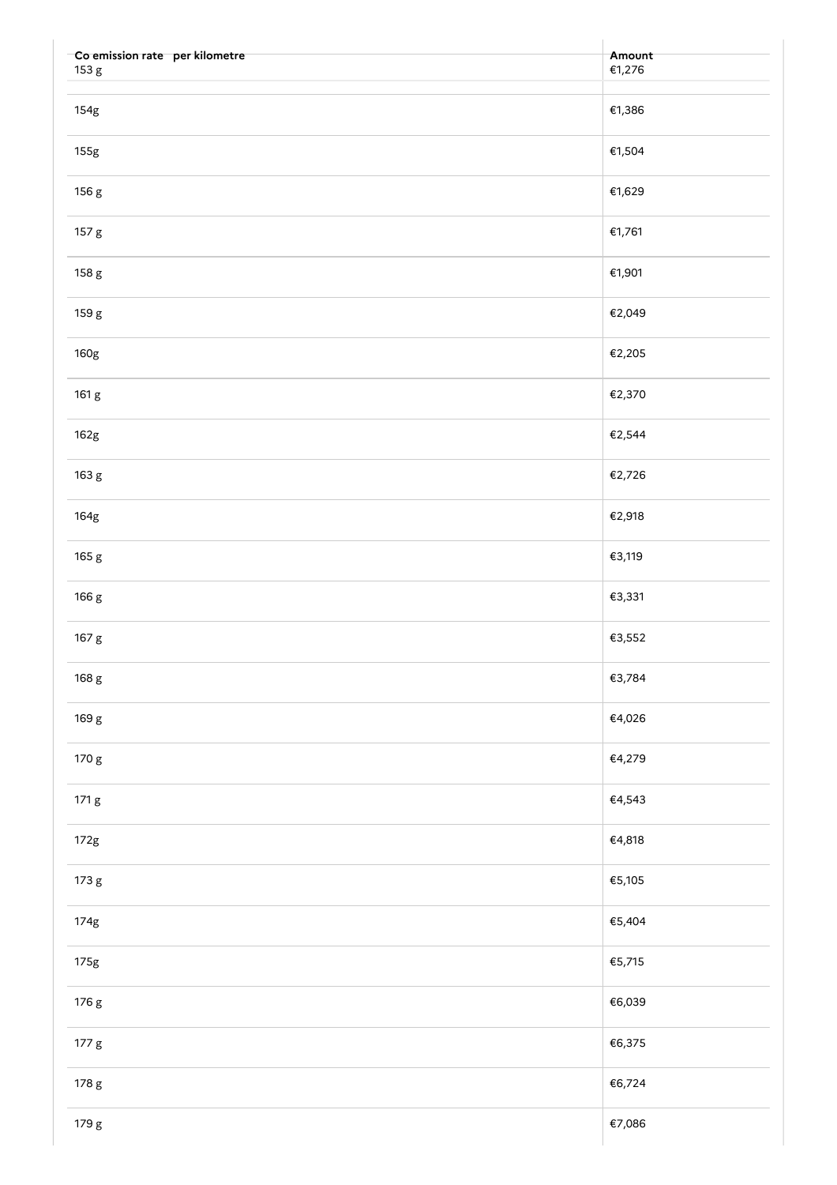| Co emission rate per kilometre<br>153 g | Amount<br>€1,276 |
|-----------------------------------------|------------------|
|                                         |                  |
| 154g                                    | €1,386           |
| 155g                                    | €1,504           |
| 156 g                                   | €1,629           |
| 157 g                                   | €1,761           |
| 158 g                                   | €1,901           |
| 159 g                                   | €2,049           |
| 160g                                    | €2,205           |
| 161 g                                   | €2,370           |
| 162g                                    | €2,544           |
| 163 g                                   | €2,726           |
| 164g                                    | €2,918           |
| 165 g                                   | €3,119           |
| 166 g                                   | €3,331           |
| 167 g                                   | €3,552           |
| 168 g                                   | €3,784           |
| 169 g                                   | €4,026           |
| 170 g                                   | €4,279           |
| 171 g                                   | €4,543           |
| 172g                                    | €4,818           |
| 173 g                                   | €5,105           |
| 174g                                    | €5,404           |
| 175g                                    | €5,715           |
| 176 g                                   | €6,039           |
| 177 g                                   | €6,375           |
| 178 g                                   | €6,724           |
| 179 g                                   | €7,086           |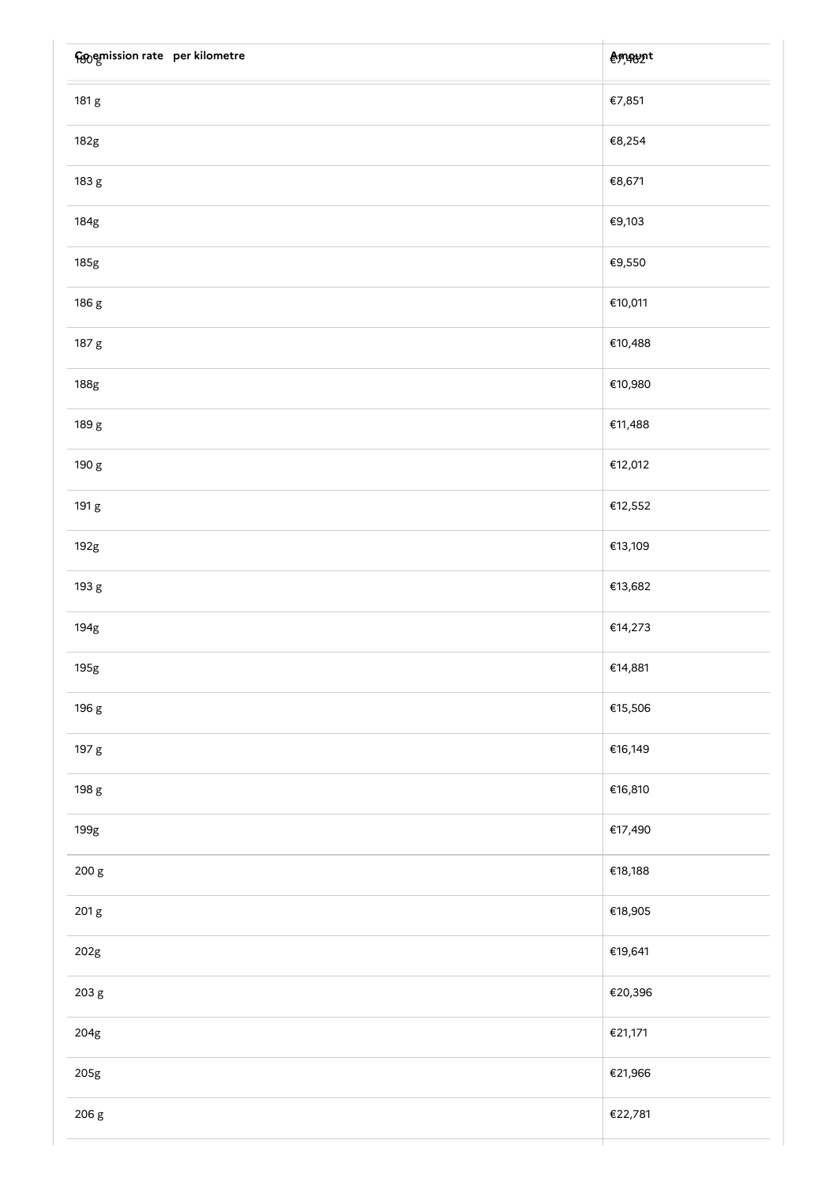| Forgenission rate per kilometre | <b>Amaynt</b> |
|---------------------------------|---------------|
| 181 g                           | €7,851        |
| 182g                            | €8,254        |
| 183 g                           | €8,671        |
| 184g                            | €9,103        |
| 185g                            | €9,550        |
| 186 g                           | €10,011       |
| 187 g                           | €10,488       |
| 188g                            | €10,980       |
| 189 g                           | €11,488       |
| 190 g                           | €12,012       |
| 191 g                           | €12,552       |
| 192g                            | €13,109       |
| 193 g                           | €13,682       |
| 194g                            | €14,273       |
| 195g                            | €14,881       |
| 196 g                           | €15,506       |
| 197 g                           | €16,149       |
| 198 g                           | €16,810       |
| 199g                            | €17,490       |
| 200 g                           | €18,188       |
| 201 g                           | €18,905       |
| 202g                            | €19,641       |
| 203 g                           | €20,396       |
| 204g                            | €21,171       |
| 205g                            | €21,966       |
| 206 g                           | €22,781       |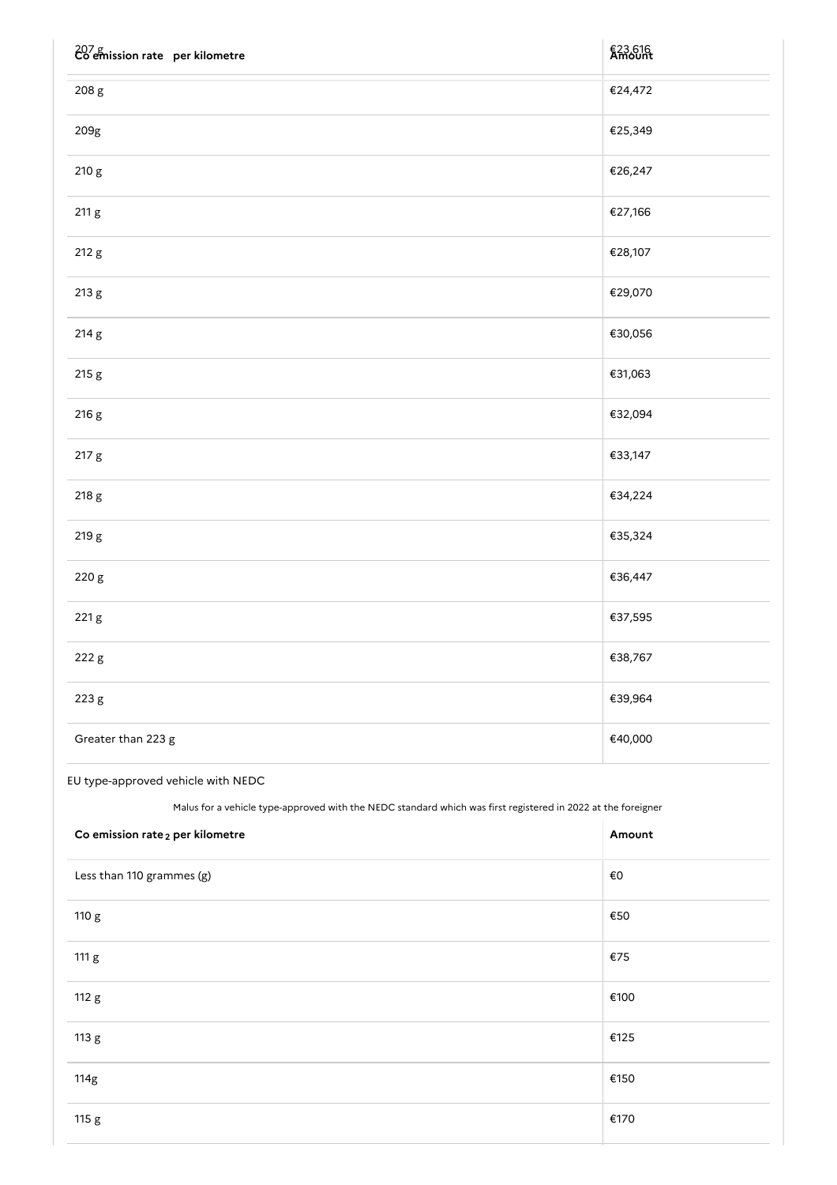| $207 g$<br>Co emission rate per kilometre | €23,616 |
|-------------------------------------------|---------|
| 208 g                                     | €24,472 |
| 209g                                      | €25,349 |
| 210 g                                     | €26,247 |
| 211 g                                     | €27,166 |
| 212 g                                     | €28,107 |
| 213 g                                     | €29,070 |
| 214 g                                     | €30,056 |
| 215 g                                     | €31,063 |
| 216 g                                     | €32,094 |
| 217 g                                     | €33,147 |
| 218 g                                     | €34,224 |
| 219 g                                     | €35,324 |
| 220 g                                     | €36,447 |
| 221 g                                     | €37,595 |
| 222 g                                     | €38,767 |
| 223 g                                     | €39,964 |
| Greater than 223 g                        | €40,000 |

# EU type-approved vehicle with NEDC

Malus for a vehicle type-approved with the NEDC standard which was first registered in 2022 at the foreigner

| Co emission rate <sub>2</sub> per kilometre | Amount |
|---------------------------------------------|--------|
| Less than 110 grammes (g)                   | €0     |
| 110 g                                       | €50    |
| 111 g                                       | €75    |
| 112 g                                       | €100   |
| 113 g                                       | €125   |
| 114g                                        | €150   |
| 115 g                                       | €170   |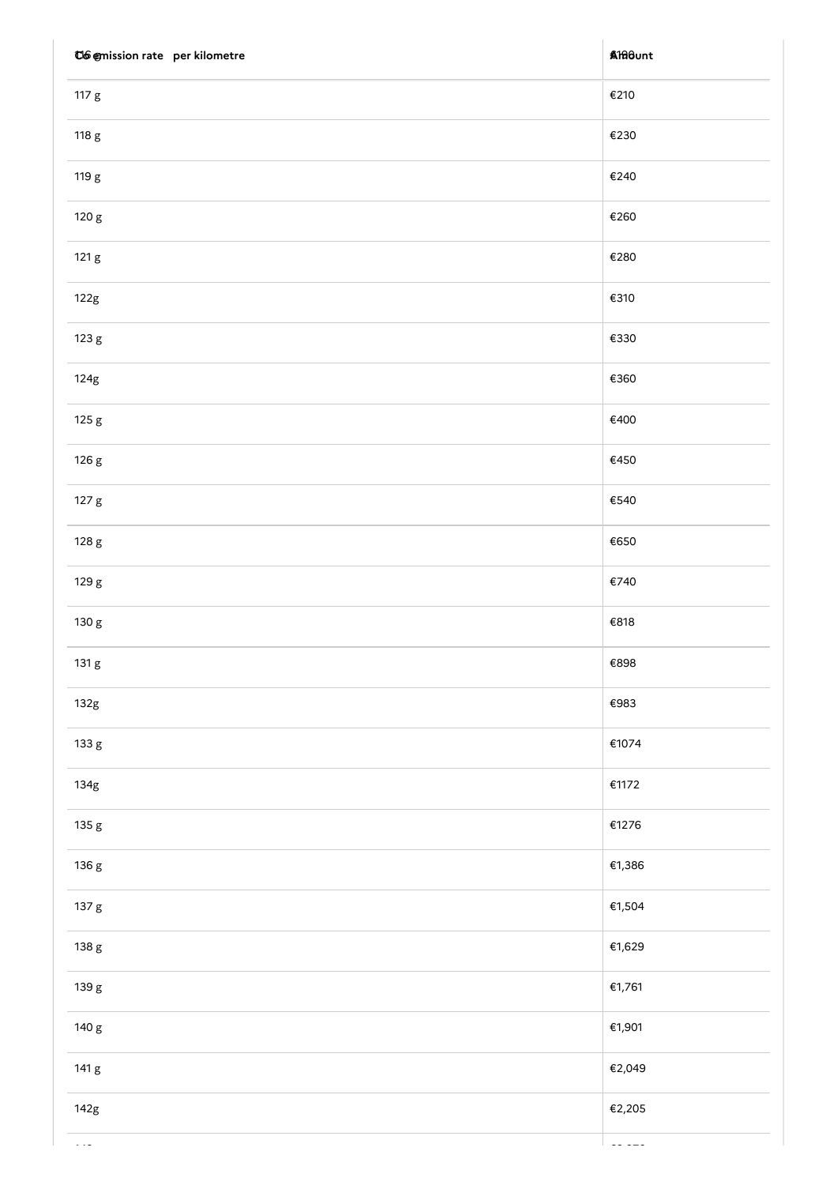| C6 @mission rate per kilometre | <b>A</b> filount |
|--------------------------------|------------------|
| 117 g                          | €210             |
| 118 g                          | €230             |
| 119 g                          | €240             |
| 120 g                          | €260             |
| 121 g                          | €280             |
| 122g                           | €310             |
| 123 g                          | €330             |
| 124g                           | €360             |
| 125 g                          | €400             |
| 126 g                          | €450             |
| 127 g                          | $\mathsf{E}540$  |
| 128 g                          | €650             |
| 129 g                          | €740             |
| 130 g                          | €818             |
| 131 g                          | €898             |
| 132g                           | €983             |
| 133 g                          | €1074            |
| 134g                           | €1172            |
| 135 g                          | €1276            |
| 136 g                          | €1,386           |
| 137 g                          | €1,504           |
| 138 g                          | €1,629           |
| 139 g                          | €1,761           |
| 140 g                          | €1,901           |
| 141 g                          | €2,049           |
| 142g                           | €2,205           |
|                                |                  |

143 g €2,370 g €2,370 g €2,370 g €2,370 g €2,370 g €2,370 g €2,370 g €2,370 g €2,370 g €2,370 g €2,370 g €2,37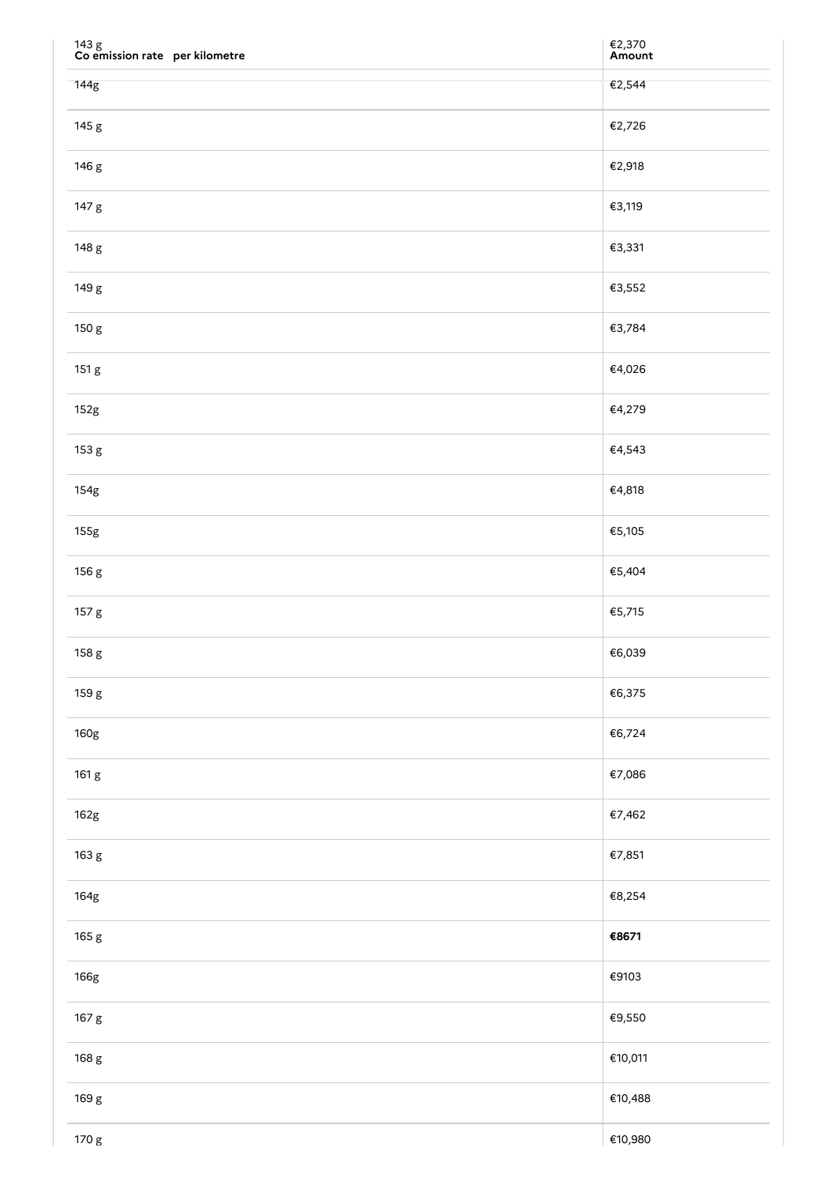| $143~\mathrm{g}$ Co emission rate $~$ per kilometre | €2,370<br><b>Amount</b> |
|-----------------------------------------------------|-------------------------|
| 144g                                                | €2,544                  |
| 145 g                                               | €2,726                  |
| 146 g                                               | €2,918                  |
| 147 g                                               | €3,119                  |
| 148 g                                               | €3,331                  |
| 149 g                                               | €3,552                  |
| 150 g                                               | €3,784                  |
| 151 g                                               | €4,026                  |
| 152g                                                | €4,279                  |
| 153 g                                               | €4,543                  |
| 154g                                                | €4,818                  |
| 155g                                                | €5,105                  |
| 156 g                                               | €5,404                  |
| 157 g                                               | €5,715                  |
| 158 g                                               | €6,039                  |
| 159 g                                               | €6,375                  |
| 160g                                                | €6,724                  |
| 161 g                                               | €7,086                  |
| 162g                                                | €7,462                  |
| 163 g                                               | €7,851                  |
| 164g                                                | €8,254                  |
| 165 g                                               | €8671                   |
| 166g                                                | €9103                   |
| 167 g                                               | €9,550                  |
| 168 g                                               | €10,011                 |
| 169 g                                               | €10,488                 |
| 170 g                                               | €10,980                 |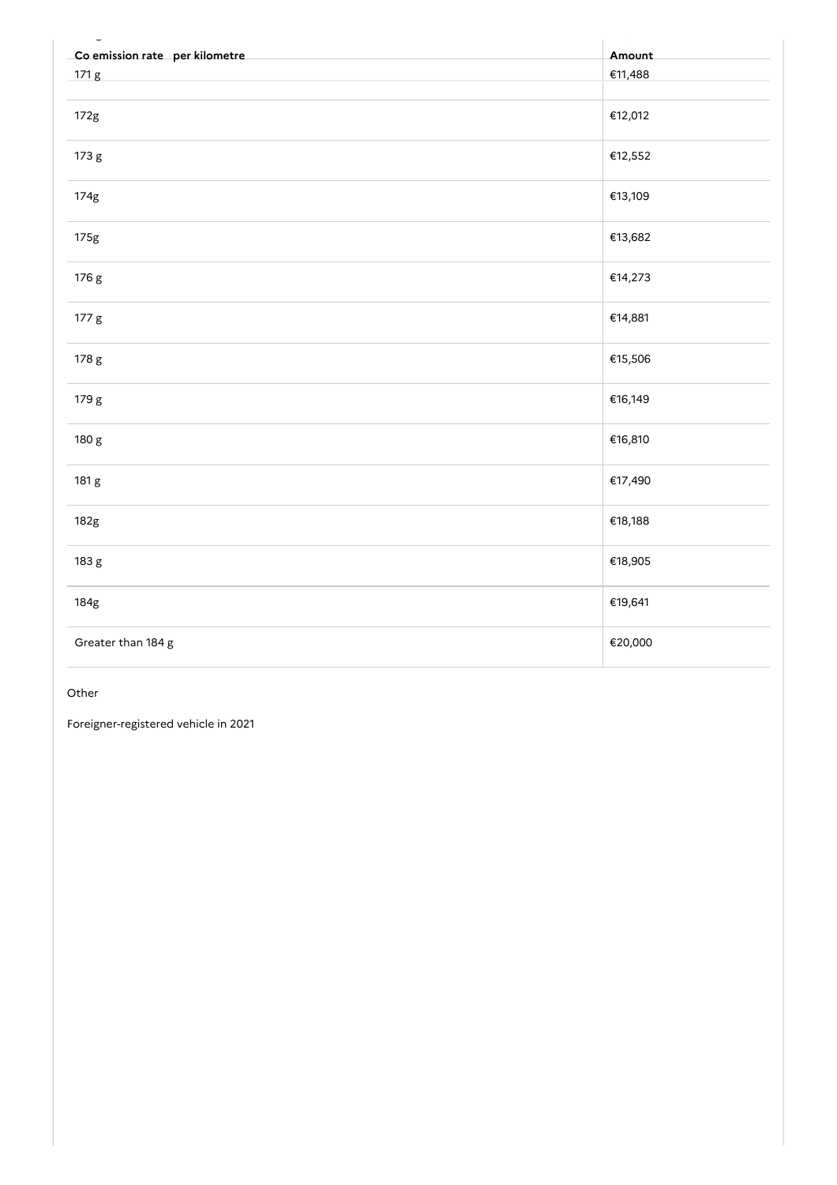| Co emission rate per kilometre | Amount  |
|--------------------------------|---------|
| 171 g                          | €11,488 |
| 172g                           | €12,012 |
| 173 g                          | €12,552 |
| 174g                           | €13,109 |
| 175g                           | €13,682 |
| 176 g                          | €14,273 |
| 177 g                          | €14,881 |
| 178 g                          | €15,506 |
| 179 g                          | €16,149 |
| 180 g                          | €16,810 |
| 181 g                          | €17,490 |
| 182g                           | €18,188 |
| 183 g                          | €18,905 |
| 184g                           | €19,641 |
| Greater than 184 g             | €20,000 |

## Other

Foreigner-registered vehicle in 2021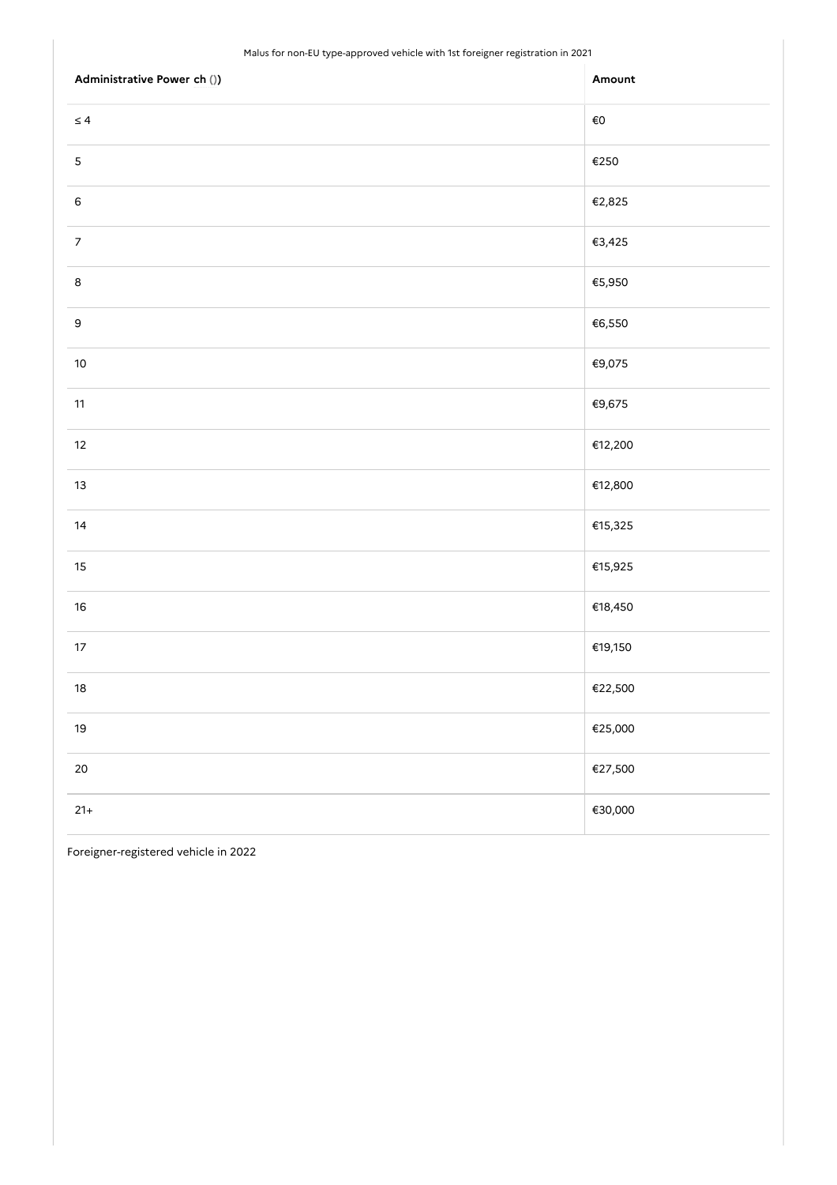## Malus for non-EU type-approved vehicle with 1st foreigner registration in 2021

| Administrative Power ch ()) | Amount       |
|-----------------------------|--------------|
| $\leq 4$                    | $\epsilon$ o |
| $\mathsf S$                 | €250         |
| $\,6$                       | €2,825       |
| $\overline{7}$              | €3,425       |
| $\bf8$                      | €5,950       |
| $\mathsf 9$                 | €6,550       |
| $10\,$                      | €9,075       |
| $11$                        | €9,675       |
| $12\,$                      | €12,200      |
| $13$                        | €12,800      |
| 14                          | €15,325      |
| $15\,$                      | €15,925      |
| $16\,$                      | €18,450      |
| $17\,$                      | €19,150      |
| $18\,$                      | €22,500      |
| $19$                        | €25,000      |
| $20\,$                      | €27,500      |
| $21+$                       | €30,000      |

Foreigner-registered vehicle in 2022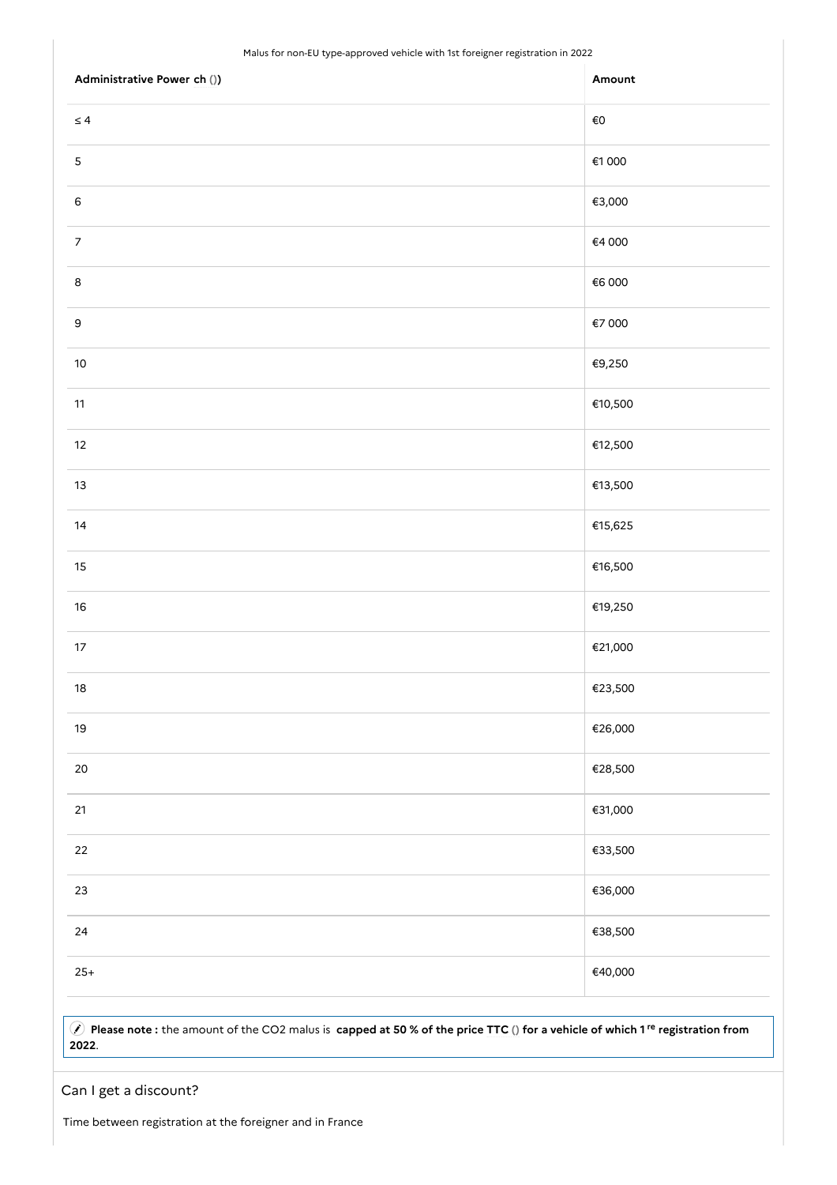## Malus for non-EU type-approved vehicle with 1st foreigner registration in 2022

| Administrative Power ch ()) | Amount  |
|-----------------------------|---------|
| $\leq 4$                    | €O      |
| $\mathsf S$                 | €1 000  |
| $\mathsf 6$                 | €3,000  |
| $\boldsymbol{7}$            | €4 000  |
| $\bf 8$                     | €6 000  |
| $\mathsf 9$                 | €7 000  |
| $10\,$                      | €9,250  |
| $11$                        | €10,500 |
| $12\,$                      | €12,500 |
| $13$                        | €13,500 |
| $14\,$                      | €15,625 |
| $15\,$                      | €16,500 |
| $16\,$                      | €19,250 |
| $17\,$                      | €21,000 |
| $18\,$                      | €23,500 |
| $19$                        | €26,000 |
| $20\,$                      | €28,500 |
| 21                          | €31,000 |
| 22                          | €33,500 |
| $23\,$                      | €36,000 |
| $24\,$                      | €38,500 |
| $25+$                       | €40,000 |

A) Please note: the amount of the CO2 malus is capped at 50 % of the price TTC () for a vehicle of which 1<sup>re</sup> registration from .

# Can I get a discount?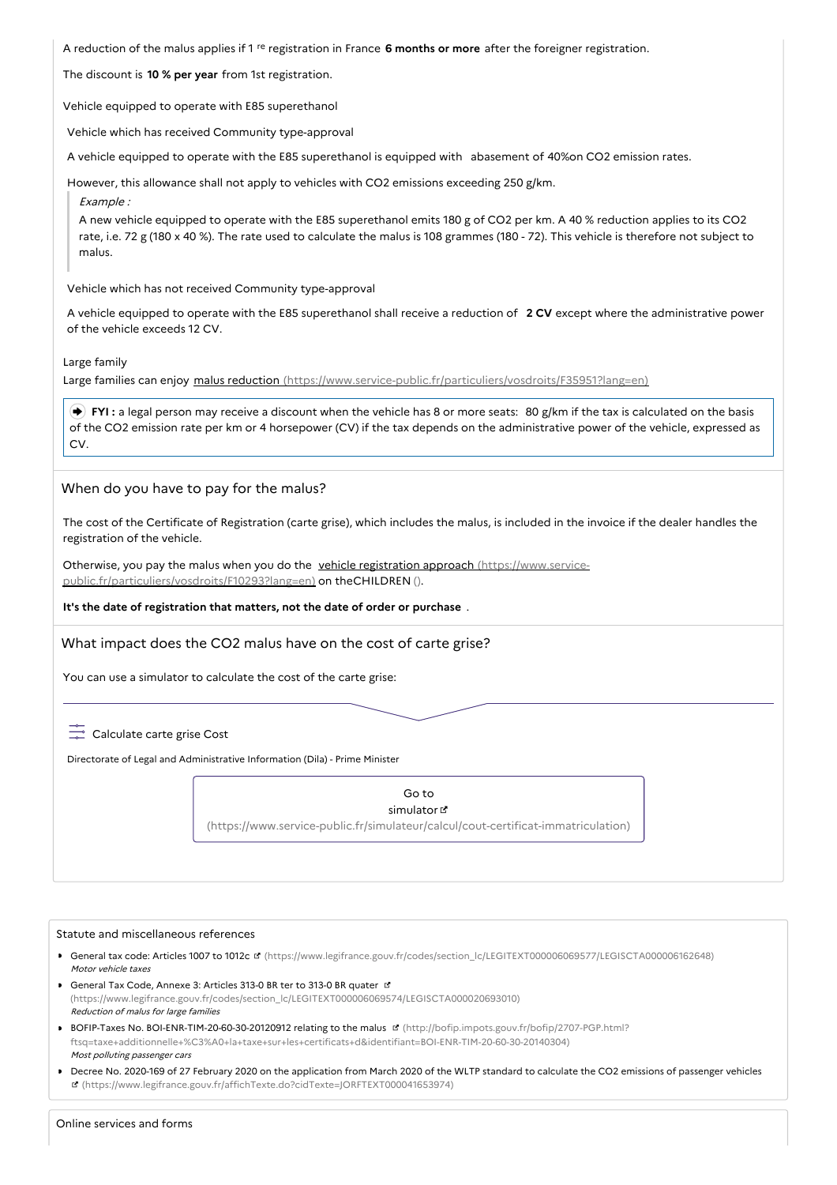A reduction of the malus applies if 1 <sup>re</sup> registration in France 6 months or more after the foreigner registration.

The discount is **10 % per year** from 1st registration.

Vehicle equipped to operate with E85 superethanol

Vehicle which has received Community type-approval

A vehicle equipped to operate with the E85 superethanol is equipped with abasement of 40%on CO2 emission rates.

However, this allowance shall not apply to vehicles with CO2 emissions exceeding 250 g/km.

Example :

A new vehicle equipped to operate with the E85 superethanol emits 180 g of CO2 per km. A 40 % reduction applies to its CO2 rate, i.e. 72 g (180 x 40 %). The rate used to calculate the malus is 108 grammes (180 - 72). This vehicle is therefore not subject to malus.

Vehicle which has not received Community type-approval

A vehicle equipped to operate with the E85 superethanol shall receive a reduction of **2 CV** except where the administrative power of the vehicle exceeds 12 CV.

Large family

Large families can enjoy malus reduction [\(https://www.service-public.fr/particuliers/vosdroits/F35951?lang=en\)](https://www.service-public.fr/particuliers/vosdroits/F35951?lang=en)

**FYI**: a legal person may receive a discount when the vehicle has 8 or more seats: 80 g/km if the tax is calculated on the basis of the CO2 emission rate per km or 4 horsepower (CV) if the tax depends on the administrative power of the vehicle, expressed as CV.

### When do you have to pay for the malus?

The cost of the Certificate of Registration (carte grise), which includes the malus, is included in the invoice if the dealer handles the registration of the vehicle.

Otherwise, you pay the malus when you do the vehicle registration approach (https://www.service[public.fr/particuliers/vosdroits/F10293?lang=en\)](https://www.service-public.fr/particuliers/vosdroits/F10293?lang=en) on theCHILDREN ().

#### **It's the date of registration that matters, not the date of order or purchase** .

## What impact does the CO2 malus have on the cost of carte grise?

You can use a simulator to calculate the cost of the carte grise:

 $\overline{C}$  Calculate carte grise Cost

Directorate of Legal and Administrative Information (Dila) - Prime Minister

#### Go to simulator<sup>d</sup>

[\(https://www.service-public.fr/simulateur/calcul/cout-certificat-immatriculation\)](https://www.service-public.fr/simulateur/calcul/cout-certificat-immatriculation)

#### Statute and miscellaneous references

- General tax code: Articles 1007 to 1012c d [\(https://www.legifrance.gouv.fr/codes/section\\_lc/LEGITEXT000006069577/LEGISCTA000006162648\)](https://www.legifrance.gouv.fr/codes/section_lc/LEGITEXT000006069577/LEGISCTA000006162648) Motor vehicle taxes
- General Tax Code, Annexe 3: Articles 313-0 BR ter to 313-0 BR quater [\(https://www.legifrance.gouv.fr/codes/section\\_lc/LEGITEXT000006069574/LEGISCTA000020693010\)](https://www.legifrance.gouv.fr/codes/section_lc/LEGITEXT000006069574/LEGISCTA000020693010) Reduction of malus for large families
- BOFIP-Taxes No. BOI-ENR-TIM-20-60-30-20120912 relating to the malus **E** (http://bofip.impots.gouv.fr/bofip/2707-PGP.html? [ftsq=taxe+additionnelle+%C3%A0+la+taxe+sur+les+certificats+d&identifiant=BOI-ENR-TIM-20-60-30-20140304\)](http://bofip.impots.gouv.fr/bofip/2707-PGP.html?ftsq=taxe+additionnelle+%25C3%25A0+la+taxe+sur+les+certificats+d&identifiant=BOI-ENR-TIM-20-60-30-20140304) Most polluting passenger cars
- Decree No. 2020-169 of 27 February 2020 on the application from March 2020 of the WLTP standard to calculate the CO2 emissions of passenger vehicles [\(https://www.legifrance.gouv.fr/affichTexte.do?cidTexte=JORFTEXT000041653974\)](https://www.legifrance.gouv.fr/affichTexte.do?cidTexte=JORFTEXT000041653974)